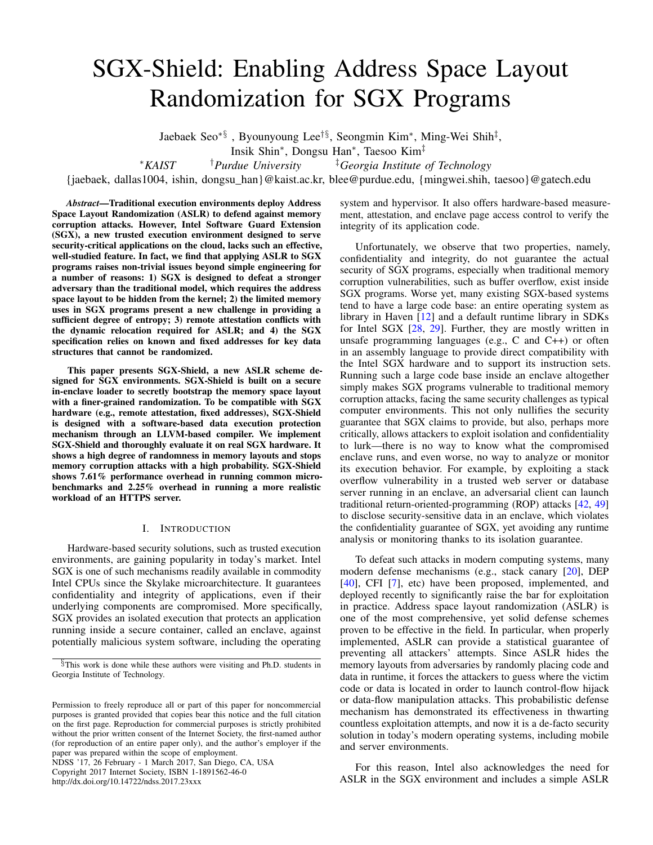# SGX-Shield: Enabling Address Space Layout Randomization for SGX Programs

Jaebaek Seo∗§ , Byounyoung Lee†§, Seongmin Kim<sup>∗</sup> , Ming-Wei Shih‡ ,

Insik Shin<sup>∗</sup> , Dongsu Han<sup>∗</sup> , Taesoo Kim‡

<sup>∗</sup>*KAIST* †*Purdue University* ‡*Georgia Institute of Technology*

{jaebaek, dallas1004, ishin, dongsu\_han}@kaist.ac.kr, blee@purdue.edu, {mingwei.shih, taesoo}@gatech.edu

*Abstract*—Traditional execution environments deploy Address Space Layout Randomization (ASLR) to defend against memory corruption attacks. However, Intel Software Guard Extension (SGX), a new trusted execution environment designed to serve security-critical applications on the cloud, lacks such an effective, well-studied feature. In fact, we find that applying ASLR to SGX programs raises non-trivial issues beyond simple engineering for a number of reasons: 1) SGX is designed to defeat a stronger adversary than the traditional model, which requires the address space layout to be hidden from the kernel; 2) the limited memory uses in SGX programs present a new challenge in providing a sufficient degree of entropy; 3) remote attestation conflicts with the dynamic relocation required for ASLR; and 4) the SGX specification relies on known and fixed addresses for key data structures that cannot be randomized.

This paper presents SGX-Shield, a new ASLR scheme designed for SGX environments. SGX-Shield is built on a secure in-enclave loader to secretly bootstrap the memory space layout with a finer-grained randomization. To be compatible with SGX hardware (e.g., remote attestation, fixed addresses), SGX-Shield is designed with a software-based data execution protection mechanism through an LLVM-based compiler. We implement SGX-Shield and thoroughly evaluate it on real SGX hardware. It shows a high degree of randomness in memory layouts and stops memory corruption attacks with a high probability. SGX-Shield shows 7.61% performance overhead in running common microbenchmarks and 2.25% overhead in running a more realistic workload of an HTTPS server.

## I. INTRODUCTION

Hardware-based security solutions, such as trusted execution environments, are gaining popularity in today's market. Intel SGX is one of such mechanisms readily available in commodity Intel CPUs since the Skylake microarchitecture. It guarantees confidentiality and integrity of applications, even if their underlying components are compromised. More specifically, SGX provides an isolated execution that protects an application running inside a secure container, called an enclave, against potentially malicious system software, including the operating

NDSS '17, 26 February - 1 March 2017, San Diego, CA, USA Copyright 2017 Internet Society, ISBN 1-1891562-46-0 http://dx.doi.org/10.14722/ndss.2017.23xxx

system and hypervisor. It also offers hardware-based measurement, attestation, and enclave page access control to verify the integrity of its application code.

Unfortunately, we observe that two properties, namely, confidentiality and integrity, do not guarantee the actual security of SGX programs, especially when traditional memory corruption vulnerabilities, such as buffer overflow, exist inside SGX programs. Worse yet, many existing SGX-based systems tend to have a large code base: an entire operating system as library in Haven [\[12\]](#page-13-0) and a default runtime library in SDKs for Intel SGX [\[28,](#page-14-0) [29\]](#page-14-1). Further, they are mostly written in unsafe programming languages (e.g., C and C++) or often in an assembly language to provide direct compatibility with the Intel SGX hardware and to support its instruction sets. Running such a large code base inside an enclave altogether simply makes SGX programs vulnerable to traditional memory corruption attacks, facing the same security challenges as typical computer environments. This not only nullifies the security guarantee that SGX claims to provide, but also, perhaps more critically, allows attackers to exploit isolation and confidentiality to lurk—there is no way to know what the compromised enclave runs, and even worse, no way to analyze or monitor its execution behavior. For example, by exploiting a stack overflow vulnerability in a trusted web server or database server running in an enclave, an adversarial client can launch traditional return-oriented-programming (ROP) attacks [\[42,](#page-14-2) [49\]](#page-14-3) to disclose security-sensitive data in an enclave, which violates the confidentiality guarantee of SGX, yet avoiding any runtime analysis or monitoring thanks to its isolation guarantee.

To defeat such attacks in modern computing systems, many modern defense mechanisms (e.g., stack canary [\[20\]](#page-13-1), DEP [\[40\]](#page-14-4), CFI [\[7\]](#page-13-2), etc) have been proposed, implemented, and deployed recently to significantly raise the bar for exploitation in practice. Address space layout randomization (ASLR) is one of the most comprehensive, yet solid defense schemes proven to be effective in the field. In particular, when properly implemented, ASLR can provide a statistical guarantee of preventing all attackers' attempts. Since ASLR hides the memory layouts from adversaries by randomly placing code and data in runtime, it forces the attackers to guess where the victim code or data is located in order to launch control-flow hijack or data-flow manipulation attacks. This probabilistic defense mechanism has demonstrated its effectiveness in thwarting countless exploitation attempts, and now it is a de-facto security solution in today's modern operating systems, including mobile and server environments.

For this reason, Intel also acknowledges the need for ASLR in the SGX environment and includes a simple ASLR

<sup>§</sup>This work is done while these authors were visiting and Ph.D. students in Georgia Institute of Technology.

Permission to freely reproduce all or part of this paper for noncommercial purposes is granted provided that copies bear this notice and the full citation on the first page. Reproduction for commercial purposes is strictly prohibited without the prior written consent of the Internet Society, the first-named author (for reproduction of an entire paper only), and the author's employer if the paper was prepared within the scope of employment.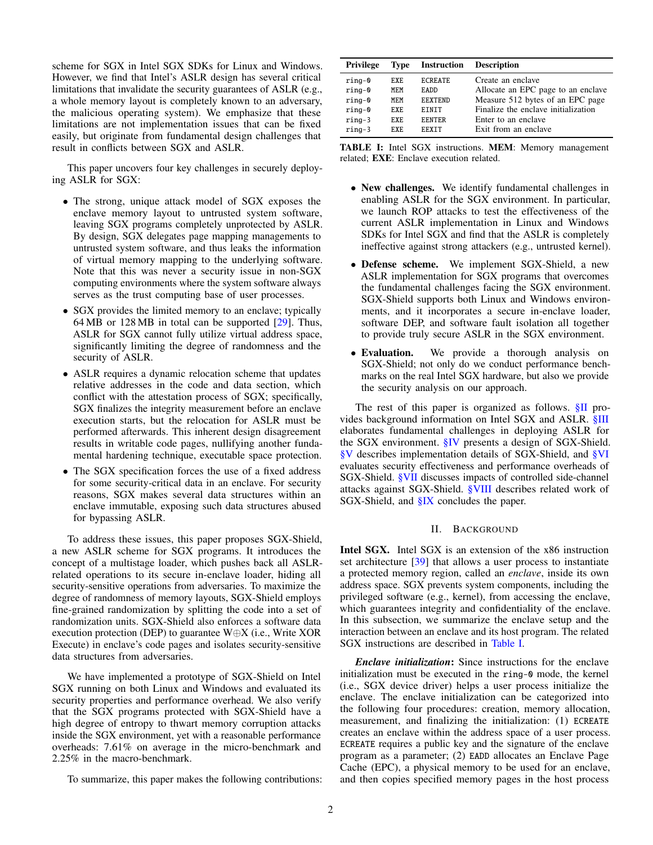scheme for SGX in Intel SGX SDKs for Linux and Windows. However, we find that Intel's ASLR design has several critical limitations that invalidate the security guarantees of ASLR (e.g., a whole memory layout is completely known to an adversary, the malicious operating system). We emphasize that these limitations are not implementation issues that can be fixed easily, but originate from fundamental design challenges that result in conflicts between SGX and ASLR.

This paper uncovers four key challenges in securely deploying ASLR for SGX:

- The strong, unique attack model of SGX exposes the enclave memory layout to untrusted system software, leaving SGX programs completely unprotected by ASLR. By design, SGX delegates page mapping managements to untrusted system software, and thus leaks the information of virtual memory mapping to the underlying software. Note that this was never a security issue in non-SGX computing environments where the system software always serves as the trust computing base of user processes.
- SGX provides the limited memory to an enclave; typically 64 MB or 128 MB in total can be supported [\[29\]](#page-14-1). Thus, ASLR for SGX cannot fully utilize virtual address space, significantly limiting the degree of randomness and the security of ASLR.
- ASLR requires a dynamic relocation scheme that updates relative addresses in the code and data section, which conflict with the attestation process of SGX; specifically, SGX finalizes the integrity measurement before an enclave execution starts, but the relocation for ASLR must be performed afterwards. This inherent design disagreement results in writable code pages, nullifying another fundamental hardening technique, executable space protection.
- The SGX specification forces the use of a fixed address for some security-critical data in an enclave. For security reasons, SGX makes several data structures within an enclave immutable, exposing such data structures abused for bypassing ASLR.

To address these issues, this paper proposes SGX-Shield, a new ASLR scheme for SGX programs. It introduces the concept of a multistage loader, which pushes back all ASLRrelated operations to its secure in-enclave loader, hiding all security-sensitive operations from adversaries. To maximize the degree of randomness of memory layouts, SGX-Shield employs fine-grained randomization by splitting the code into a set of randomization units. SGX-Shield also enforces a software data execution protection (DEP) to guarantee W⊕X (i.e., Write XOR Execute) in enclave's code pages and isolates security-sensitive data structures from adversaries.

We have implemented a prototype of SGX-Shield on Intel SGX running on both Linux and Windows and evaluated its security properties and performance overhead. We also verify that the SGX programs protected with SGX-Shield have a high degree of entropy to thwart memory corruption attacks inside the SGX environment, yet with a reasonable performance overheads: 7.61% on average in the micro-benchmark and 2.25% in the macro-benchmark.

To summarize, this paper makes the following contributions:

<span id="page-1-1"></span>

| <b>Privilege</b>                                          | <b>Type</b>                        | <b>Instruction</b>                                                                | <b>Description</b>                                                                                                                                        |
|-----------------------------------------------------------|------------------------------------|-----------------------------------------------------------------------------------|-----------------------------------------------------------------------------------------------------------------------------------------------------------|
| $r$ ing-0<br>$rinq-0$<br>$rinq-0$<br>$rinq-0$<br>$rinq-3$ | EXE.<br>MEM<br>MEM<br>EXE.<br>EXE. | <b>ECREATE</b><br><b>EADD</b><br><b>EEXTEND</b><br><b>F.TNTT</b><br><b>EENTER</b> | Create an enclave<br>Allocate an EPC page to an enclave<br>Measure 512 bytes of an EPC page<br>Finalize the enclave initialization<br>Enter to an enclave |
| $rinq-3$                                                  | F.XF.                              | <b>FFXTT</b>                                                                      | Exit from an enclave                                                                                                                                      |

TABLE I: Intel SGX instructions. MEM: Memory management related; EXE: Enclave execution related.

- New challenges. We identify fundamental challenges in enabling ASLR for the SGX environment. In particular, we launch ROP attacks to test the effectiveness of the current ASLR implementation in Linux and Windows SDKs for Intel SGX and find that the ASLR is completely ineffective against strong attackers (e.g., untrusted kernel).
- Defense scheme. We implement SGX-Shield, a new ASLR implementation for SGX programs that overcomes the fundamental challenges facing the SGX environment. SGX-Shield supports both Linux and Windows environments, and it incorporates a secure in-enclave loader, software DEP, and software fault isolation all together to provide truly secure ASLR in the SGX environment.
- Evaluation. We provide a thorough analysis on SGX-Shield; not only do we conduct performance benchmarks on the real Intel SGX hardware, but also we provide the security analysis on our approach.

The rest of this paper is organized as follows. SII provides background information on Intel SGX and ASLR. [§III](#page-2-0) elaborates fundamental challenges in deploying ASLR for the SGX environment. [§IV](#page-3-0) presents a design of SGX-Shield. [§V](#page-7-0) describes implementation details of SGX-Shield, and [§VI](#page-8-0) evaluates security effectiveness and performance overheads of SGX-Shield. [§VII](#page-11-0) discusses impacts of controlled side-channel attacks against SGX-Shield. [§VIII](#page-12-0) describes related work of SGX-Shield, and [§IX](#page-13-3) concludes the paper.

#### II. BACKGROUND

<span id="page-1-0"></span>Intel SGX. Intel SGX is an extension of the x86 instruction set architecture [\[39\]](#page-14-5) that allows a user process to instantiate a protected memory region, called an *enclave*, inside its own address space. SGX prevents system components, including the privileged software (e.g., kernel), from accessing the enclave, which guarantees integrity and confidentiality of the enclave. In this subsection, we summarize the enclave setup and the interaction between an enclave and its host program. The related SGX instructions are described in [Table I.](#page-1-1)

*Enclave initialization*: Since instructions for the enclave initialization must be executed in the ring-0 mode, the kernel (i.e., SGX device driver) helps a user process initialize the enclave. The enclave initialization can be categorized into the following four procedures: creation, memory allocation, measurement, and finalizing the initialization: (1) ECREATE creates an enclave within the address space of a user process. ECREATE requires a public key and the signature of the enclave program as a parameter; (2) EADD allocates an Enclave Page Cache (EPC), a physical memory to be used for an enclave, and then copies specified memory pages in the host process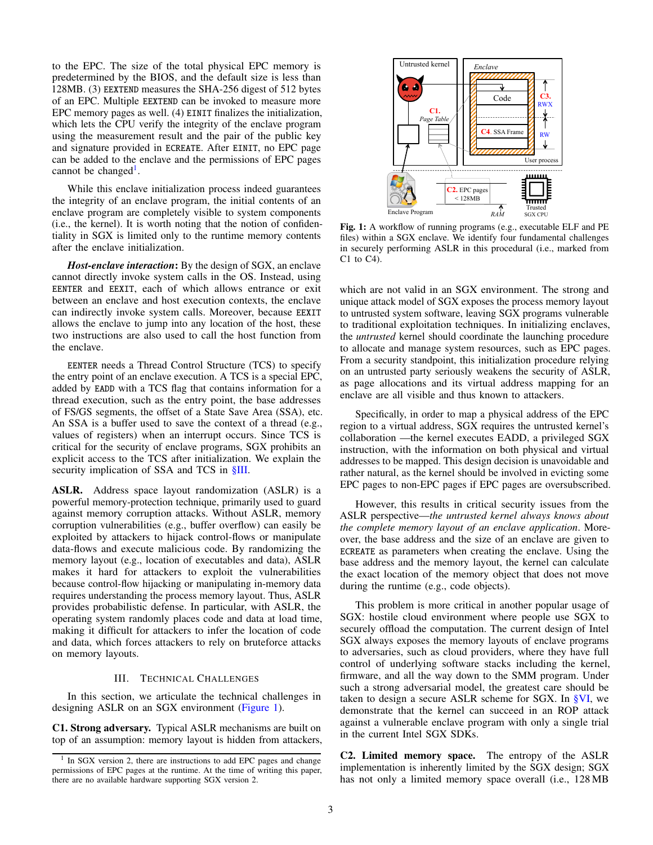to the EPC. The size of the total physical EPC memory is predetermined by the BIOS, and the default size is less than 128MB. (3) EEXTEND measures the SHA-256 digest of 512 bytes of an EPC. Multiple EEXTEND can be invoked to measure more EPC memory pages as well. (4) EINIT finalizes the initialization, which lets the CPU verify the integrity of the enclave program using the measurement result and the pair of the public key and signature provided in ECREATE. After EINIT, no EPC page can be added to the enclave and the permissions of EPC pages cannot be changed<sup>[1](#page-2-1)</sup>.

While this enclave initialization process indeed guarantees the integrity of an enclave program, the initial contents of an enclave program are completely visible to system components (i.e., the kernel). It is worth noting that the notion of confidentiality in SGX is limited only to the runtime memory contents after the enclave initialization.

*Host-enclave interaction*: By the design of SGX, an enclave cannot directly invoke system calls in the OS. Instead, using EENTER and EEXIT, each of which allows entrance or exit between an enclave and host execution contexts, the enclave can indirectly invoke system calls. Moreover, because EEXIT allows the enclave to jump into any location of the host, these two instructions are also used to call the host function from the enclave.

EENTER needs a Thread Control Structure (TCS) to specify the entry point of an enclave execution. A TCS is a special EPC, added by EADD with a TCS flag that contains information for a thread execution, such as the entry point, the base addresses of FS/GS segments, the offset of a State Save Area (SSA), etc. An SSA is a buffer used to save the context of a thread (e.g., values of registers) when an interrupt occurs. Since TCS is critical for the security of enclave programs, SGX prohibits an explicit access to the TCS after initialization. We explain the security implication of SSA and TCS in  $\S$ III.

ASLR. Address space layout randomization (ASLR) is a powerful memory-protection technique, primarily used to guard against memory corruption attacks. Without ASLR, memory corruption vulnerabilities (e.g., buffer overflow) can easily be exploited by attackers to hijack control-flows or manipulate data-flows and execute malicious code. By randomizing the memory layout (e.g., location of executables and data), ASLR makes it hard for attackers to exploit the vulnerabilities because control-flow hijacking or manipulating in-memory data requires understanding the process memory layout. Thus, ASLR provides probabilistic defense. In particular, with ASLR, the operating system randomly places code and data at load time, making it difficult for attackers to infer the location of code and data, which forces attackers to rely on bruteforce attacks on memory layouts.

# III. TECHNICAL CHALLENGES

<span id="page-2-0"></span>In this section, we articulate the technical challenges in designing ASLR on an SGX environment [\(Figure 1\)](#page-2-2).

C1. Strong adversary. Typical ASLR mechanisms are built on top of an assumption: memory layout is hidden from attackers,

<span id="page-2-2"></span>

Fig. 1: A workflow of running programs (e.g., executable ELF and PE files) within a SGX enclave. We identify four fundamental challenges in securely performing ASLR in this procedural (i.e., marked from C1 to C4).

which are not valid in an SGX environment. The strong and unique attack model of SGX exposes the process memory layout to untrusted system software, leaving SGX programs vulnerable to traditional exploitation techniques. In initializing enclaves, the *untrusted* kernel should coordinate the launching procedure to allocate and manage system resources, such as EPC pages. From a security standpoint, this initialization procedure relying on an untrusted party seriously weakens the security of ASLR, as page allocations and its virtual address mapping for an enclave are all visible and thus known to attackers.

Specifically, in order to map a physical address of the EPC region to a virtual address, SGX requires the untrusted kernel's collaboration —the kernel executes EADD, a privileged SGX instruction, with the information on both physical and virtual addresses to be mapped. This design decision is unavoidable and rather natural, as the kernel should be involved in evicting some EPC pages to non-EPC pages if EPC pages are oversubscribed.

However, this results in critical security issues from the ASLR perspective—*the untrusted kernel always knows about the complete memory layout of an enclave application*. Moreover, the base address and the size of an enclave are given to ECREATE as parameters when creating the enclave. Using the base address and the memory layout, the kernel can calculate the exact location of the memory object that does not move during the runtime (e.g., code objects).

This problem is more critical in another popular usage of SGX: hostile cloud environment where people use SGX to securely offload the computation. The current design of Intel SGX always exposes the memory layouts of enclave programs to adversaries, such as cloud providers, where they have full control of underlying software stacks including the kernel, firmware, and all the way down to the SMM program. Under such a strong adversarial model, the greatest care should be taken to design a secure ASLR scheme for SGX. In [§VI,](#page-8-0) we demonstrate that the kernel can succeed in an ROP attack against a vulnerable enclave program with only a single trial in the current Intel SGX SDKs.

C2. Limited memory space. The entropy of the ASLR implementation is inherently limited by the SGX design; SGX has not only a limited memory space overall (i.e., 128 MB

<span id="page-2-1"></span><sup>&</sup>lt;sup>1</sup> In SGX version 2, there are instructions to add EPC pages and change permissions of EPC pages at the runtime. At the time of writing this paper, there are no available hardware supporting SGX version 2.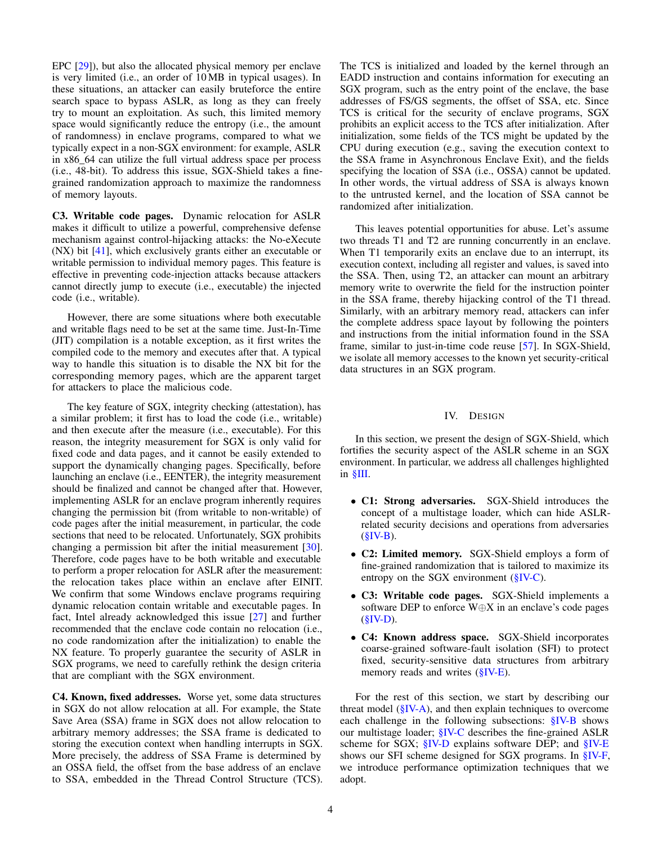EPC [\[29\]](#page-14-1)), but also the allocated physical memory per enclave is very limited (i.e., an order of 10 MB in typical usages). In these situations, an attacker can easily bruteforce the entire search space to bypass ASLR, as long as they can freely try to mount an exploitation. As such, this limited memory space would significantly reduce the entropy (i.e., the amount of randomness) in enclave programs, compared to what we typically expect in a non-SGX environment: for example, ASLR in x86\_64 can utilize the full virtual address space per process (i.e., 48-bit). To address this issue, SGX-Shield takes a finegrained randomization approach to maximize the randomness of memory layouts.

C3. Writable code pages. Dynamic relocation for ASLR makes it difficult to utilize a powerful, comprehensive defense mechanism against control-hijacking attacks: the No-eXecute (NX) bit [\[41\]](#page-14-6), which exclusively grants either an executable or writable permission to individual memory pages. This feature is effective in preventing code-injection attacks because attackers cannot directly jump to execute (i.e., executable) the injected code (i.e., writable).

However, there are some situations where both executable and writable flags need to be set at the same time. Just-In-Time (JIT) compilation is a notable exception, as it first writes the compiled code to the memory and executes after that. A typical way to handle this situation is to disable the NX bit for the corresponding memory pages, which are the apparent target for attackers to place the malicious code.

The key feature of SGX, integrity checking (attestation), has a similar problem; it first has to load the code (i.e., writable) and then execute after the measure (i.e., executable). For this reason, the integrity measurement for SGX is only valid for fixed code and data pages, and it cannot be easily extended to support the dynamically changing pages. Specifically, before launching an enclave (i.e., EENTER), the integrity measurement should be finalized and cannot be changed after that. However, implementing ASLR for an enclave program inherently requires changing the permission bit (from writable to non-writable) of code pages after the initial measurement, in particular, the code sections that need to be relocated. Unfortunately, SGX prohibits changing a permission bit after the initial measurement [\[30\]](#page-14-7). Therefore, code pages have to be both writable and executable to perform a proper relocation for ASLR after the measurement: the relocation takes place within an enclave after EINIT. We confirm that some Windows enclave programs requiring dynamic relocation contain writable and executable pages. In fact, Intel already acknowledged this issue [\[27\]](#page-14-8) and further recommended that the enclave code contain no relocation (i.e., no code randomization after the initialization) to enable the NX feature. To properly guarantee the security of ASLR in SGX programs, we need to carefully rethink the design criteria that are compliant with the SGX environment.

C4. Known, fixed addresses. Worse yet, some data structures in SGX do not allow relocation at all. For example, the State Save Area (SSA) frame in SGX does not allow relocation to arbitrary memory addresses; the SSA frame is dedicated to storing the execution context when handling interrupts in SGX. More precisely, the address of SSA Frame is determined by an OSSA field, the offset from the base address of an enclave to SSA, embedded in the Thread Control Structure (TCS). The TCS is initialized and loaded by the kernel through an EADD instruction and contains information for executing an SGX program, such as the entry point of the enclave, the base addresses of FS/GS segments, the offset of SSA, etc. Since TCS is critical for the security of enclave programs, SGX prohibits an explicit access to the TCS after initialization. After initialization, some fields of the TCS might be updated by the CPU during execution (e.g., saving the execution context to the SSA frame in Asynchronous Enclave Exit), and the fields specifying the location of SSA (i.e., OSSA) cannot be updated. In other words, the virtual address of SSA is always known to the untrusted kernel, and the location of SSA cannot be randomized after initialization.

This leaves potential opportunities for abuse. Let's assume two threads T1 and T2 are running concurrently in an enclave. When T1 temporarily exits an enclave due to an interrupt, its execution context, including all register and values, is saved into the SSA. Then, using T2, an attacker can mount an arbitrary memory write to overwrite the field for the instruction pointer in the SSA frame, thereby hijacking control of the T1 thread. Similarly, with an arbitrary memory read, attackers can infer the complete address space layout by following the pointers and instructions from the initial information found in the SSA frame, similar to just-in-time code reuse [\[57\]](#page-14-9). In SGX-Shield, we isolate all memory accesses to the known yet security-critical data structures in an SGX program.

# IV. DESIGN

<span id="page-3-0"></span>In this section, we present the design of SGX-Shield, which fortifies the security aspect of the ASLR scheme in an SGX environment. In particular, we address all challenges highlighted in [§III.](#page-2-0)

- C1: Strong adversaries. SGX-Shield introduces the concept of a multistage loader, which can hide ASLRrelated security decisions and operations from adversaries  $(**§ IV-B**).$
- C2: Limited memory. SGX-Shield employs a form of fine-grained randomization that is tailored to maximize its entropy on the SGX environment  $(\S IV-C)$ .
- C3: Writable code pages. SGX-Shield implements a software DEP to enforce W⊕X in an enclave's code pages  $(SIV-D)$ .
- C4: Known address space. SGX-Shield incorporates coarse-grained software-fault isolation (SFI) to protect fixed, security-sensitive data structures from arbitrary memory reads and writes [\(§IV-E\)](#page-7-1).

For the rest of this section, we start by describing our threat model  $(\S$ IV-A), and then explain techniques to overcome each challenge in the following subsections: [§IV-B](#page-4-0) shows our multistage loader; [§IV-C](#page-5-0) describes the fine-grained ASLR scheme for SGX; [§IV-D](#page-6-0) explains software DEP; and [§IV-E](#page-7-1) shows our SFI scheme designed for SGX programs. In [§IV-F,](#page-7-2) we introduce performance optimization techniques that we adopt.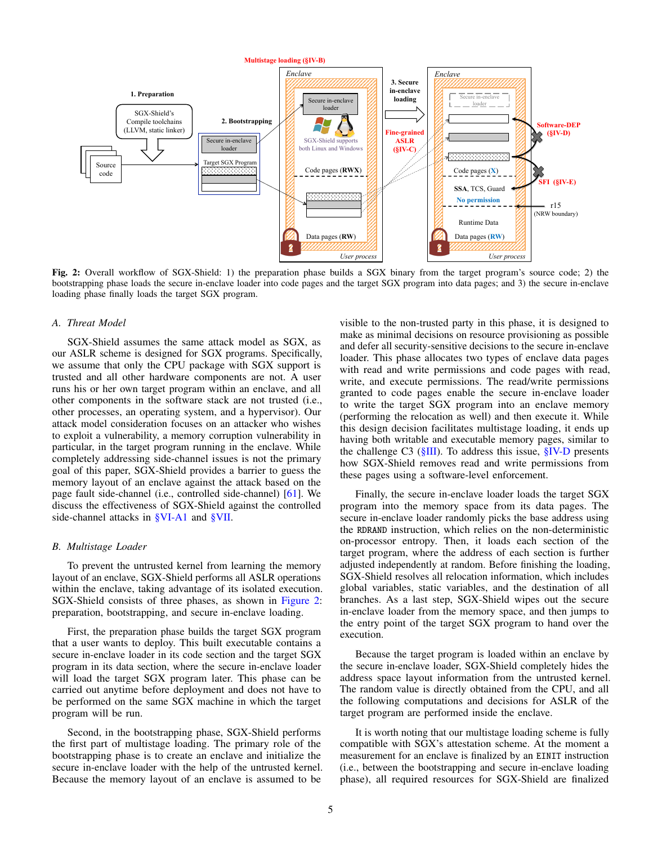<span id="page-4-2"></span>

Fig. 2: Overall workflow of SGX-Shield: 1) the preparation phase builds a SGX binary from the target program's source code; 2) the bootstrapping phase loads the secure in-enclave loader into code pages and the target SGX program into data pages; and 3) the secure in-enclave loading phase finally loads the target SGX program.

## <span id="page-4-1"></span>*A. Threat Model*

SGX-Shield assumes the same attack model as SGX, as our ASLR scheme is designed for SGX programs. Specifically, we assume that only the CPU package with SGX support is trusted and all other hardware components are not. A user runs his or her own target program within an enclave, and all other components in the software stack are not trusted (i.e., other processes, an operating system, and a hypervisor). Our attack model consideration focuses on an attacker who wishes to exploit a vulnerability, a memory corruption vulnerability in particular, in the target program running in the enclave. While completely addressing side-channel issues is not the primary goal of this paper, SGX-Shield provides a barrier to guess the memory layout of an enclave against the attack based on the page fault side-channel (i.e., controlled side-channel) [\[61\]](#page-14-10). We discuss the effectiveness of SGX-Shield against the controlled side-channel attacks in [§VI-A1](#page-8-1) and [§VII.](#page-11-0)

# <span id="page-4-0"></span>*B. Multistage Loader*

To prevent the untrusted kernel from learning the memory layout of an enclave, SGX-Shield performs all ASLR operations within the enclave, taking advantage of its isolated execution. SGX-Shield consists of three phases, as shown in [Figure 2:](#page-4-2) preparation, bootstrapping, and secure in-enclave loading.

First, the preparation phase builds the target SGX program that a user wants to deploy. This built executable contains a secure in-enclave loader in its code section and the target SGX program in its data section, where the secure in-enclave loader will load the target SGX program later. This phase can be carried out anytime before deployment and does not have to be performed on the same SGX machine in which the target program will be run.

Second, in the bootstrapping phase, SGX-Shield performs the first part of multistage loading. The primary role of the bootstrapping phase is to create an enclave and initialize the secure in-enclave loader with the help of the untrusted kernel. Because the memory layout of an enclave is assumed to be

visible to the non-trusted party in this phase, it is designed to make as minimal decisions on resource provisioning as possible and defer all security-sensitive decisions to the secure in-enclave loader. This phase allocates two types of enclave data pages with read and write permissions and code pages with read, write, and execute permissions. The read/write permissions granted to code pages enable the secure in-enclave loader to write the target SGX program into an enclave memory (performing the relocation as well) and then execute it. While this design decision facilitates multistage loading, it ends up having both writable and executable memory pages, similar to the challenge C3 ( $\S$ III). To address this issue,  $\S$ IV-D presents how SGX-Shield removes read and write permissions from these pages using a software-level enforcement.

Finally, the secure in-enclave loader loads the target SGX program into the memory space from its data pages. The secure in-enclave loader randomly picks the base address using the RDRAND instruction, which relies on the non-deterministic on-processor entropy. Then, it loads each section of the target program, where the address of each section is further adjusted independently at random. Before finishing the loading, SGX-Shield resolves all relocation information, which includes global variables, static variables, and the destination of all branches. As a last step, SGX-Shield wipes out the secure in-enclave loader from the memory space, and then jumps to the entry point of the target SGX program to hand over the execution.

Because the target program is loaded within an enclave by the secure in-enclave loader, SGX-Shield completely hides the address space layout information from the untrusted kernel. The random value is directly obtained from the CPU, and all the following computations and decisions for ASLR of the target program are performed inside the enclave.

It is worth noting that our multistage loading scheme is fully compatible with SGX's attestation scheme. At the moment a measurement for an enclave is finalized by an EINIT instruction (i.e., between the bootstrapping and secure in-enclave loading phase), all required resources for SGX-Shield are finalized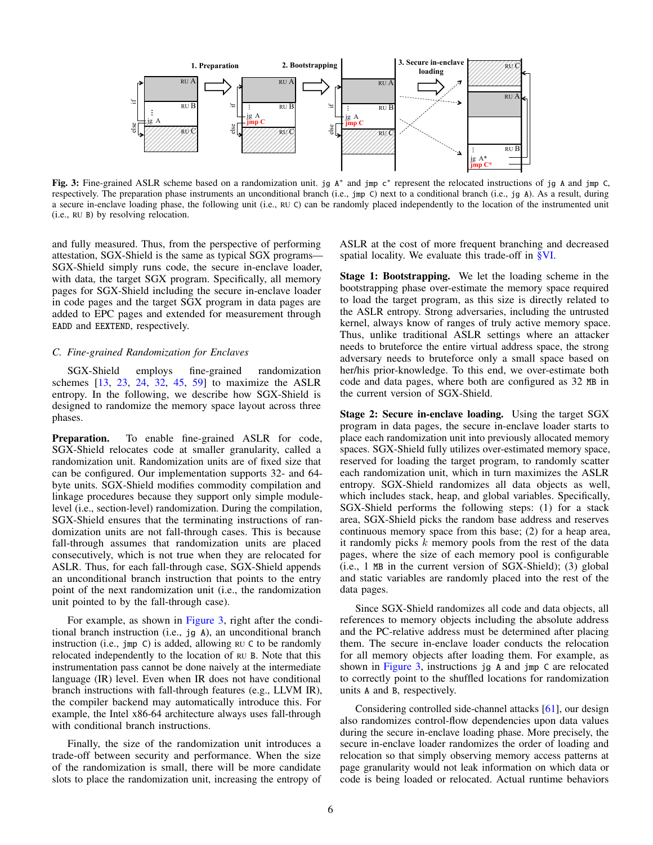<span id="page-5-1"></span>

Fig. 3: Fine-grained ASLR scheme based on a randomization unit. jg A<sup>∗</sup> and jmp c<sup>∗</sup> represent the relocated instructions of jg A and jmp C, respectively. The preparation phase instruments an unconditional branch (i.e., jmp C) next to a conditional branch (i.e., jg A). As a result, during a secure in-enclave loading phase, the following unit (i.e., RU C) can be randomly placed independently to the location of the instrumented unit (i.e., RU B) by resolving relocation.

and fully measured. Thus, from the perspective of performing attestation, SGX-Shield is the same as typical SGX programs— SGX-Shield simply runs code, the secure in-enclave loader, with data, the target SGX program. Specifically, all memory pages for SGX-Shield including the secure in-enclave loader in code pages and the target SGX program in data pages are added to EPC pages and extended for measurement through EADD and EEXTEND, respectively.

# <span id="page-5-0"></span>*C. Fine-grained Randomization for Enclaves*

SGX-Shield employs fine-grained randomization schemes [\[13,](#page-13-4) [23,](#page-13-5) [24,](#page-13-6) [32,](#page-14-11) [45,](#page-14-12) [59\]](#page-14-13) to maximize the ASLR entropy. In the following, we describe how SGX-Shield is designed to randomize the memory space layout across three phases.

Preparation. To enable fine-grained ASLR for code, SGX-Shield relocates code at smaller granularity, called a randomization unit. Randomization units are of fixed size that can be configured. Our implementation supports 32- and 64 byte units. SGX-Shield modifies commodity compilation and linkage procedures because they support only simple modulelevel (i.e., section-level) randomization. During the compilation, SGX-Shield ensures that the terminating instructions of randomization units are not fall-through cases. This is because fall-through assumes that randomization units are placed consecutively, which is not true when they are relocated for ASLR. Thus, for each fall-through case, SGX-Shield appends an unconditional branch instruction that points to the entry point of the next randomization unit (i.e., the randomization unit pointed to by the fall-through case).

For example, as shown in [Figure 3,](#page-5-1) right after the conditional branch instruction (i.e., jg A), an unconditional branch instruction (i.e., jmp C) is added, allowing RU C to be randomly relocated independently to the location of RU B. Note that this instrumentation pass cannot be done naively at the intermediate language (IR) level. Even when IR does not have conditional branch instructions with fall-through features (e.g., LLVM IR), the compiler backend may automatically introduce this. For example, the Intel x86-64 architecture always uses fall-through with conditional branch instructions.

Finally, the size of the randomization unit introduces a trade-off between security and performance. When the size of the randomization is small, there will be more candidate slots to place the randomization unit, increasing the entropy of ASLR at the cost of more frequent branching and decreased spatial locality. We evaluate this trade-off in [§VI.](#page-8-0)

Stage 1: Bootstrapping. We let the loading scheme in the bootstrapping phase over-estimate the memory space required to load the target program, as this size is directly related to the ASLR entropy. Strong adversaries, including the untrusted kernel, always know of ranges of truly active memory space. Thus, unlike traditional ASLR settings where an attacker needs to bruteforce the entire virtual address space, the strong adversary needs to bruteforce only a small space based on her/his prior-knowledge. To this end, we over-estimate both code and data pages, where both are configured as 32 MB in the current version of SGX-Shield.

Stage 2: Secure in-enclave loading. Using the target SGX program in data pages, the secure in-enclave loader starts to place each randomization unit into previously allocated memory spaces. SGX-Shield fully utilizes over-estimated memory space, reserved for loading the target program, to randomly scatter each randomization unit, which in turn maximizes the ASLR entropy. SGX-Shield randomizes all data objects as well, which includes stack, heap, and global variables. Specifically, SGX-Shield performs the following steps: (1) for a stack area, SGX-Shield picks the random base address and reserves continuous memory space from this base; (2) for a heap area, it randomly picks k memory pools from the rest of the data pages, where the size of each memory pool is configurable (i.e., 1 MB in the current version of SGX-Shield); (3) global and static variables are randomly placed into the rest of the data pages.

Since SGX-Shield randomizes all code and data objects, all references to memory objects including the absolute address and the PC-relative address must be determined after placing them. The secure in-enclave loader conducts the relocation for all memory objects after loading them. For example, as shown in [Figure 3,](#page-5-1) instructions jg A and jmp C are relocated to correctly point to the shuffled locations for randomization units A and B, respectively.

Considering controlled side-channel attacks [\[61\]](#page-14-10), our design also randomizes control-flow dependencies upon data values during the secure in-enclave loading phase. More precisely, the secure in-enclave loader randomizes the order of loading and relocation so that simply observing memory access patterns at page granularity would not leak information on which data or code is being loaded or relocated. Actual runtime behaviors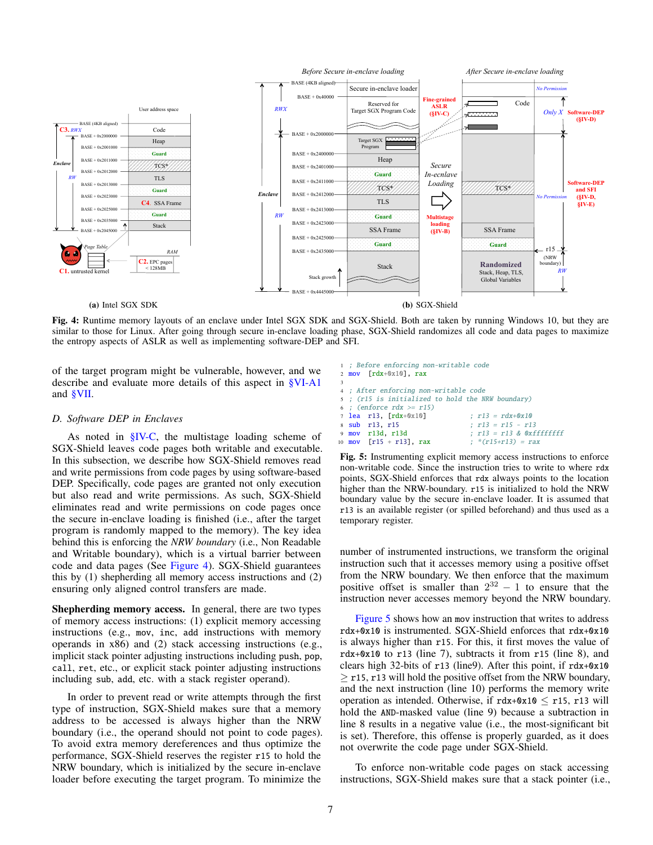<span id="page-6-1"></span>

(a) Intel SGX SDK

(b) SGX-Shield

Fig. 4: Runtime memory layouts of an enclave under Intel SGX SDK and SGX-Shield. Both are taken by running Windows 10, but they are similar to those for Linux. After going through secure in-enclave loading phase, SGX-Shield randomizes all code and data pages to maximize the entropy aspects of ASLR as well as implementing software-DEP and SFI.

of the target program might be vulnerable, however, and we describe and evaluate more details of this aspect in [§VI-A1](#page-8-1) and [§VII.](#page-11-0)

#### <span id="page-6-0"></span>*D. Software DEP in Enclaves*

As noted in [§IV-C,](#page-5-0) the multistage loading scheme of SGX-Shield leaves code pages both writable and executable. In this subsection, we describe how SGX-Shield removes read and write permissions from code pages by using software-based DEP. Specifically, code pages are granted not only execution but also read and write permissions. As such, SGX-Shield eliminates read and write permissions on code pages once the secure in-enclave loading is finished (i.e., after the target program is randomly mapped to the memory). The key idea behind this is enforcing the *NRW boundary* (i.e., Non Readable and Writable boundary), which is a virtual barrier between code and data pages (See [Figure 4\)](#page-6-1). SGX-Shield guarantees this by (1) shepherding all memory access instructions and (2) ensuring only aligned control transfers are made.

Shepherding memory access. In general, there are two types of memory access instructions: (1) explicit memory accessing instructions (e.g., mov, inc, add instructions with memory operands in x86) and (2) stack accessing instructions (e.g., implicit stack pointer adjusting instructions including push, pop, call, ret, etc., or explicit stack pointer adjusting instructions including sub, add, etc. with a stack register operand).

In order to prevent read or write attempts through the first type of instruction, SGX-Shield makes sure that a memory address to be accessed is always higher than the NRW boundary (i.e., the operand should not point to code pages). To avoid extra memory dereferences and thus optimize the performance, SGX-Shield reserves the register r15 to hold the NRW boundary, which is initialized by the secure in-enclave loader before executing the target program. To minimize the

<span id="page-6-2"></span>

Fig. 5: Instrumenting explicit memory access instructions to enforce non-writable code. Since the instruction tries to write to where rdx points, SGX-Shield enforces that rdx always points to the location higher than the NRW-boundary. r15 is initialized to hold the NRW boundary value by the secure in-enclave loader. It is assumed that r13 is an available register (or spilled beforehand) and thus used as a temporary register.

number of instrumented instructions, we transform the original instruction such that it accesses memory using a positive offset from the NRW boundary. We then enforce that the maximum positive offset is smaller than  $2^{32} - 1$  to ensure that the instruction never accesses memory beyond the NRW boundary.

[Figure 5](#page-6-2) shows how an mov instruction that writes to address rdx+0x10 is instrumented. SGX-Shield enforces that rdx+0x10 is always higher than r15. For this, it first moves the value of rdx+0x10 to r13 (line 7), subtracts it from r15 (line 8), and clears high 32-bits of r13 (line9). After this point, if rdx+0x10  $\geq$  r15, r13 will hold the positive offset from the NRW boundary, and the next instruction (line 10) performs the memory write operation as intended. Otherwise, if  $rdx+0x10 \le r15$ , r13 will hold the AND-masked value (line 9) because a subtraction in line 8 results in a negative value (i.e., the most-significant bit is set). Therefore, this offense is properly guarded, as it does not overwrite the code page under SGX-Shield.

To enforce non-writable code pages on stack accessing instructions, SGX-Shield makes sure that a stack pointer (i.e.,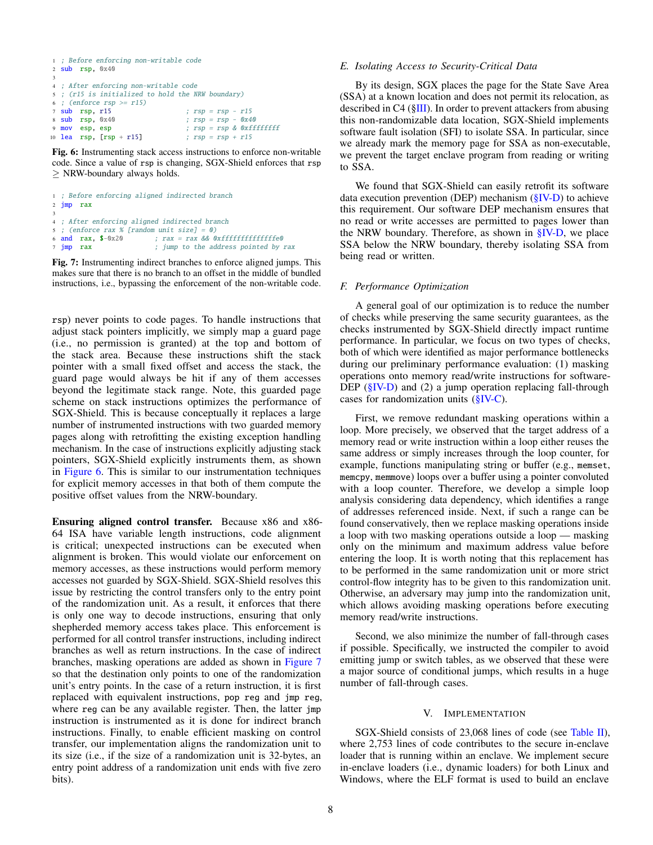```
1 ; Before enforcing non-writable code
2 sub rsp, 0x40
3
4 ; After enforcing non-writable code
5 ; (r15 is initialized to hold the NRW boundary)
6 ; (enforce rsp \geq r15)
7 sub rsp, r15 ; rsp = rsp - r15
8 sub rsp, 0x40 ; rsp = rsp - 0x409 mov esp, esp \Rightarrow ; rsp = rsp \& 0xfffffffff10 lea rsp, [rsp + r15] ; rsp = rsp + r15
```
Fig. 6: Instrumenting stack access instructions to enforce non-writable code. Since a value of rsp is changing, SGX-Shield enforces that rsp  $\geq$  NRW-boundary always holds.

```
1 ; Before enforcing aligned indirected branch
2 jmp rax
3
4 ; After enforcing aligned indirected branch
5 ; (enforce rax % [random unit size] = 0)<br>6 and rax, \frac{1}{2} - \frac{1}{2} ; rax = rax && 0.
                            ; rax = rax && 0xfffffffffffffffe0
7 jmp rax ; jump to the address pointed by rax
```
Fig. 7: Instrumenting indirect branches to enforce aligned jumps. This makes sure that there is no branch to an offset in the middle of bundled instructions, i.e., bypassing the enforcement of the non-writable code.

rsp) never points to code pages. To handle instructions that adjust stack pointers implicitly, we simply map a guard page (i.e., no permission is granted) at the top and bottom of the stack area. Because these instructions shift the stack pointer with a small fixed offset and access the stack, the guard page would always be hit if any of them accesses beyond the legitimate stack range. Note, this guarded page scheme on stack instructions optimizes the performance of SGX-Shield. This is because conceptually it replaces a large number of instrumented instructions with two guarded memory pages along with retrofitting the existing exception handling mechanism. In the case of instructions explicitly adjusting stack pointers, SGX-Shield explicitly instruments them, as shown in [Figure 6.](#page-7-3) This is similar to our instrumentation techniques for explicit memory accesses in that both of them compute the positive offset values from the NRW-boundary.

Ensuring aligned control transfer. Because x86 and x86- 64 ISA have variable length instructions, code alignment is critical; unexpected instructions can be executed when alignment is broken. This would violate our enforcement on memory accesses, as these instructions would perform memory accesses not guarded by SGX-Shield. SGX-Shield resolves this issue by restricting the control transfers only to the entry point of the randomization unit. As a result, it enforces that there is only one way to decode instructions, ensuring that only shepherded memory access takes place. This enforcement is performed for all control transfer instructions, including indirect branches as well as return instructions. In the case of indirect branches, masking operations are added as shown in [Figure 7](#page-7-4) so that the destination only points to one of the randomization unit's entry points. In the case of a return instruction, it is first replaced with equivalent instructions, pop reg and jmp reg, where reg can be any available register. Then, the latter jmp instruction is instrumented as it is done for indirect branch instructions. Finally, to enable efficient masking on control transfer, our implementation aligns the randomization unit to its size (i.e., if the size of a randomization unit is 32-bytes, an entry point address of a randomization unit ends with five zero bits).

#### <span id="page-7-1"></span>*E. Isolating Access to Security-Critical Data*

By its design, SGX places the page for the State Save Area (SSA) at a known location and does not permit its relocation, as described in C4 ([§III\)](#page-2-0). In order to prevent attackers from abusing this non-randomizable data location, SGX-Shield implements software fault isolation (SFI) to isolate SSA. In particular, since we already mark the memory page for SSA as non-executable, we prevent the target enclave program from reading or writing to SSA.

We found that SGX-Shield can easily retrofit its software data execution prevention (DEP) mechanism [\(§IV-D\)](#page-6-0) to achieve this requirement. Our software DEP mechanism ensures that no read or write accesses are permitted to pages lower than the NRW boundary. Therefore, as shown in [§IV-D,](#page-6-0) we place SSA below the NRW boundary, thereby isolating SSA from being read or written.

#### <span id="page-7-2"></span>*F. Performance Optimization*

A general goal of our optimization is to reduce the number of checks while preserving the same security guarantees, as the checks instrumented by SGX-Shield directly impact runtime performance. In particular, we focus on two types of checks, both of which were identified as major performance bottlenecks during our preliminary performance evaluation: (1) masking operations onto memory read/write instructions for software-DEP ( $\S$ IV-D) and (2) a jump operation replacing fall-through cases for randomization units  $(\S IV-C)$ .

First, we remove redundant masking operations within a loop. More precisely, we observed that the target address of a memory read or write instruction within a loop either reuses the same address or simply increases through the loop counter, for example, functions manipulating string or buffer (e.g., memset, memcpy, memmove) loops over a buffer using a pointer convoluted with a loop counter. Therefore, we develop a simple loop analysis considering data dependency, which identifies a range of addresses referenced inside. Next, if such a range can be found conservatively, then we replace masking operations inside a loop with two masking operations outside a loop — masking only on the minimum and maximum address value before entering the loop. It is worth noting that this replacement has to be performed in the same randomization unit or more strict control-flow integrity has to be given to this randomization unit. Otherwise, an adversary may jump into the randomization unit, which allows avoiding masking operations before executing memory read/write instructions.

Second, we also minimize the number of fall-through cases if possible. Specifically, we instructed the compiler to avoid emitting jump or switch tables, as we observed that these were a major source of conditional jumps, which results in a huge number of fall-through cases.

#### V. IMPLEMENTATION

<span id="page-7-0"></span>SGX-Shield consists of 23,068 lines of code (see [Table II\)](#page-8-2), where 2,753 lines of code contributes to the secure in-enclave loader that is running within an enclave. We implement secure in-enclave loaders (i.e., dynamic loaders) for both Linux and Windows, where the ELF format is used to build an enclave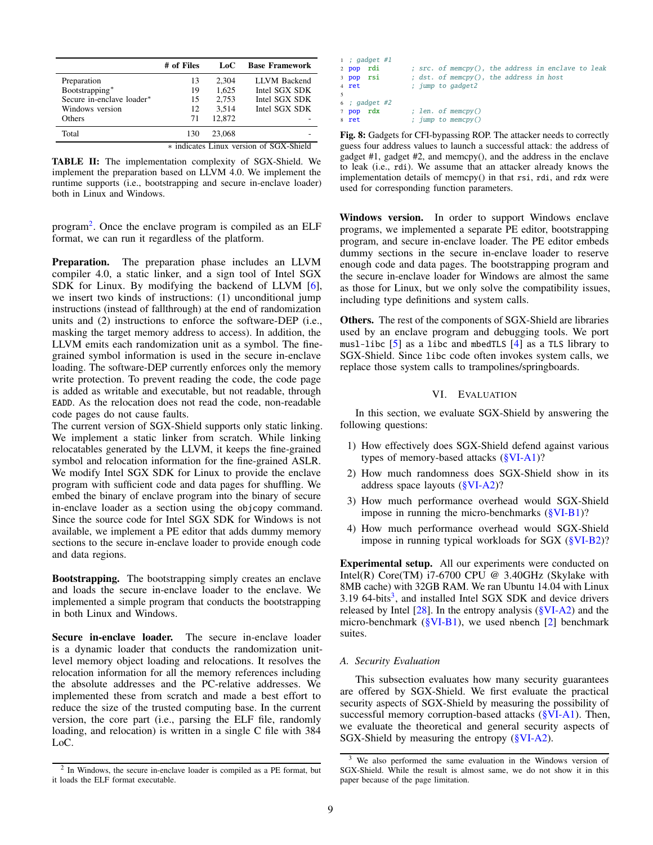<span id="page-8-2"></span>

|                                         | # of Files | LoC.   | <b>Base Framework</b> |  |  |  |
|-----------------------------------------|------------|--------|-----------------------|--|--|--|
| Preparation                             | 13         | 2.304  | <b>LLVM</b> Backend   |  |  |  |
| Bootstrapping*                          | 19         | 1.625  | Intel SGX SDK         |  |  |  |
| Secure in-enclave loader*               | 15         | 2.753  | Intel SGX SDK         |  |  |  |
| Windows version                         | 12         | 3.514  | Intel SGX SDK         |  |  |  |
| Others                                  | 71         | 12.872 |                       |  |  |  |
| Total                                   | 130        | 23,068 |                       |  |  |  |
| * indicates Linux version of SGX-Shield |            |        |                       |  |  |  |

TABLE II: The implementation complexity of SGX-Shield. We implement the preparation based on LLVM 4.0. We implement the runtime supports (i.e., bootstrapping and secure in-enclave loader) both in Linux and Windows.

program<sup>[2](#page-8-3)</sup>. Once the enclave program is compiled as an ELF format, we can run it regardless of the platform.

Preparation. The preparation phase includes an LLVM compiler 4.0, a static linker, and a sign tool of Intel SGX SDK for Linux. By modifying the backend of LLVM [\[6\]](#page-13-7), we insert two kinds of instructions: (1) unconditional jump instructions (instead of fallthrough) at the end of randomization units and (2) instructions to enforce the software-DEP (i.e., masking the target memory address to access). In addition, the LLVM emits each randomization unit as a symbol. The finegrained symbol information is used in the secure in-enclave loading. The software-DEP currently enforces only the memory write protection. To prevent reading the code, the code page is added as writable and executable, but not readable, through EADD. As the relocation does not read the code, non-readable code pages do not cause faults.

The current version of SGX-Shield supports only static linking. We implement a static linker from scratch. While linking relocatables generated by the LLVM, it keeps the fine-grained symbol and relocation information for the fine-grained ASLR. We modify Intel SGX SDK for Linux to provide the enclave program with sufficient code and data pages for shuffling. We embed the binary of enclave program into the binary of secure in-enclave loader as a section using the objcopy command. Since the source code for Intel SGX SDK for Windows is not available, we implement a PE editor that adds dummy memory sections to the secure in-enclave loader to provide enough code and data regions.

Bootstrapping. The bootstrapping simply creates an enclave and loads the secure in-enclave loader to the enclave. We implemented a simple program that conducts the bootstrapping in both Linux and Windows.

Secure in-enclave loader. The secure in-enclave loader is a dynamic loader that conducts the randomization unitlevel memory object loading and relocations. It resolves the relocation information for all the memory references including the absolute addresses and the PC-relative addresses. We implemented these from scratch and made a best effort to reduce the size of the trusted computing base. In the current version, the core part (i.e., parsing the ELF file, randomly loading, and relocation) is written in a single C file with 384 LoC.

<span id="page-8-5"></span>

| $1$ ; gadget #1 |  |  |                                                    |  |  |  |
|-----------------|--|--|----------------------------------------------------|--|--|--|
| 2 pop rdi       |  |  | ; src. of memcpy(), the address in enclave to leak |  |  |  |
| 3 pop rsi       |  |  | ; dst. of memcpy(), the address in host            |  |  |  |
| 4 ret           |  |  | ; jump to gadget2                                  |  |  |  |
|                 |  |  |                                                    |  |  |  |
| 6: qadget #2    |  |  |                                                    |  |  |  |
| 7 pop rdx       |  |  | : len. of memory()                                 |  |  |  |
| 8 ret           |  |  | ; jump to memcpy()                                 |  |  |  |

Fig. 8: Gadgets for CFI-bypassing ROP. The attacker needs to correctly guess four address values to launch a successful attack: the address of gadget #1, gadget #2, and memcpy(), and the address in the enclave to leak (i.e., rdi). We assume that an attacker already knows the implementation details of memcpy() in that rsi, rdi, and rdx were used for corresponding function parameters.

Windows version. In order to support Windows enclave programs, we implemented a separate PE editor, bootstrapping program, and secure in-enclave loader. The PE editor embeds dummy sections in the secure in-enclave loader to reserve enough code and data pages. The bootstrapping program and the secure in-enclave loader for Windows are almost the same as those for Linux, but we only solve the compatibility issues, including type definitions and system calls.

Others. The rest of the components of SGX-Shield are libraries used by an enclave program and debugging tools. We port musl-libc  $\begin{bmatrix} 5 \end{bmatrix}$  as a libc and mbedTLS  $\begin{bmatrix} 4 \end{bmatrix}$  as a TLS library to SGX-Shield. Since libc code often invokes system calls, we replace those system calls to trampolines/springboards.

# VI. EVALUATION

<span id="page-8-0"></span>In this section, we evaluate SGX-Shield by answering the following questions:

- 1) How effectively does SGX-Shield defend against various types of memory-based attacks [\(§VI-A1\)](#page-8-1)?
- 2) How much randomness does SGX-Shield show in its address space layouts [\(§VI-A2\)](#page-9-0)?
- 3) How much performance overhead would SGX-Shield impose in running the micro-benchmarks [\(§VI-B1\)](#page-10-0)?
- 4) How much performance overhead would SGX-Shield impose in running typical workloads for SGX [\(§VI-B2\)](#page-11-1)?

Experimental setup. All our experiments were conducted on Intel(R) Core(TM) i7-6700 CPU @ 3.40GHz (Skylake with 8MB cache) with 32GB RAM. We ran Ubuntu 14.04 with Linux  $3.19$  $3.19$  64-bits<sup>3</sup>, and installed Intel SGX SDK and device drivers released by Intel  $[28]$ . In the entropy analysis  $(\frac{8}{14}VI-A2)$  and the micro-benchmark ( $\frac{\text{SVI-B1}}{\text{SVI-B1}}$ ), we used nbench [\[2\]](#page-13-10) benchmark suites.

# *A. Security Evaluation*

This subsection evaluates how many security guarantees are offered by SGX-Shield. We first evaluate the practical security aspects of SGX-Shield by measuring the possibility of successful memory corruption-based attacks [\(§VI-A1\)](#page-8-1). Then, we evaluate the theoretical and general security aspects of SGX-Shield by measuring the entropy [\(§VI-A2\)](#page-9-0).

<span id="page-8-3"></span><sup>&</sup>lt;sup>2</sup> In Windows, the secure in-enclave loader is compiled as a PE format, but it loads the ELF format executable.

<span id="page-8-4"></span><span id="page-8-1"></span><sup>&</sup>lt;sup>3</sup> We also performed the same evaluation in the Windows version of SGX-Shield. While the result is almost same, we do not show it in this paper because of the page limitation.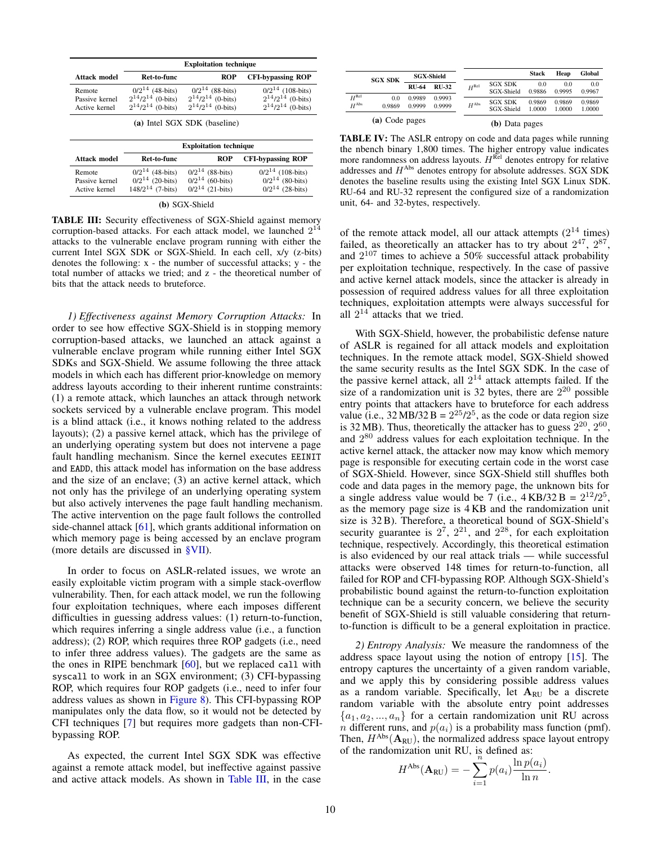<span id="page-9-1"></span>

|                                           |                                                                              | <b>Exploitation technique</b>                                                |                                                                               |  |  |  |  |
|-------------------------------------------|------------------------------------------------------------------------------|------------------------------------------------------------------------------|-------------------------------------------------------------------------------|--|--|--|--|
| Attack model                              | Ret-to-func                                                                  | ROP                                                                          | <b>CFI-bypassing ROP</b>                                                      |  |  |  |  |
| Remote<br>Passive kernel<br>Active kernel | $0/2^{14}$ (48-bits)<br>$2^{14}/2^{14}$ (0-bits)<br>$2^{14}/2^{14}$ (0-bits) | $0/2^{14}$ (88-bits)<br>$2^{14}/2^{14}$ (0-bits)<br>$2^{14}/2^{14}$ (0-bits) | $0/2^{14}$ (108-bits)<br>$2^{14}/2^{14}$ (0-bits)<br>$2^{14}/2^{14}$ (0-bits) |  |  |  |  |
| (a) Intel SGX SDK (baseline)              |                                                                              |                                                                              |                                                                               |  |  |  |  |
| <b>Exploitation technique</b>             |                                                                              |                                                                              |                                                                               |  |  |  |  |

| Attack model                              | Ret-to-func                                                           | <b>ROP</b>                                                           | <b>CFI-bypassing ROP</b>                                              |
|-------------------------------------------|-----------------------------------------------------------------------|----------------------------------------------------------------------|-----------------------------------------------------------------------|
| Remote<br>Passive kernel<br>Active kernel | $0/2^{14}$ (48-bits)<br>$0/2^{14}$ (20-bits)<br>$148/2^{14}$ (7-bits) | $0/2^{14}$ (88-bits)<br>$0/2^{14}$ (60-bits)<br>$0/2^{14}$ (21-bits) | $0/2^{14}$ (108-bits)<br>$0/2^{14}$ (80-bits)<br>$0/2^{14}$ (28-bits) |

|  | (b) SGX-Shield |  |
|--|----------------|--|
|--|----------------|--|

TABLE III: Security effectiveness of SGX-Shield against memory corruption-based attacks. For each attack model, we launched  $2^{14}$ attacks to the vulnerable enclave program running with either the current Intel SGX SDK or SGX-Shield. In each cell, x/y (z-bits) denotes the following:  $x -$  the number of successful attacks;  $y -$  the total number of attacks we tried; and z - the theoretical number of bits that the attack needs to bruteforce.

*1) Effectiveness against Memory Corruption Attacks:* In order to see how effective SGX-Shield is in stopping memory corruption-based attacks, we launched an attack against a vulnerable enclave program while running either Intel SGX SDKs and SGX-Shield. We assume following the three attack models in which each has different prior-knowledge on memory address layouts according to their inherent runtime constraints: (1) a remote attack, which launches an attack through network sockets serviced by a vulnerable enclave program. This model is a blind attack (i.e., it knows nothing related to the address layouts); (2) a passive kernel attack, which has the privilege of an underlying operating system but does not intervene a page fault handling mechanism. Since the kernel executes EEINIT and EADD, this attack model has information on the base address and the size of an enclave; (3) an active kernel attack, which not only has the privilege of an underlying operating system but also actively intervenes the page fault handling mechanism. The active intervention on the page fault follows the controlled side-channel attack  $[61]$ , which grants additional information on which memory page is being accessed by an enclave program (more details are discussed in [§VII\)](#page-11-0).

In order to focus on ASLR-related issues, we wrote an easily exploitable victim program with a simple stack-overflow vulnerability. Then, for each attack model, we run the following four exploitation techniques, where each imposes different difficulties in guessing address values: (1) return-to-function, which requires inferring a single address value (i.e., a function address); (2) ROP, which requires three ROP gadgets (i.e., need to infer three address values). The gadgets are the same as the ones in RIPE benchmark [\[60\]](#page-14-14), but we replaced call with syscall to work in an SGX environment; (3) CFI-bypassing ROP, which requires four ROP gadgets (i.e., need to infer four address values as shown in [Figure 8\)](#page-8-5). This CFI-bypassing ROP manipulates only the data flow, so it would not be detected by CFI techniques [\[7\]](#page-13-2) but requires more gadgets than non-CFIbypassing ROP.

As expected, the current Intel SGX SDK was effective against a remote attack model, but ineffective against passive and active attack models. As shown in [Table III,](#page-9-1) in the case

<span id="page-9-2"></span>

|                                |                | <b>SGX-Shield</b> |                  |                  |                              | <b>Stack</b>     | Heap             | Global           |
|--------------------------------|----------------|-------------------|------------------|------------------|------------------------------|------------------|------------------|------------------|
|                                | <b>SGX SDK</b> | <b>RU-64</b>      | <b>RU-32</b>     | $H^{\text{Rel}}$ | <b>SGX SDK</b><br>SGX-Shield | 0.0<br>0.9886    | 0.0<br>0.9995    | 0.0<br>0.9967    |
| $H^{\rm Rel}$<br>$H^{\rm Abs}$ | 0.0<br>0.9869  | 0.9989<br>0.9999  | 0.9993<br>0.9999 | $H^{\rm Abs}$    | <b>SGX SDK</b><br>SGX-Shield | 0.9869<br>1.0000 | 0.9869<br>1.0000 | 0.9869<br>1.0000 |
| (a) Code pages                 |                |                   |                  | (b) Data pages   |                              |                  |                  |                  |

TABLE IV: The ASLR entropy on code and data pages while running the nbench binary 1,800 times. The higher entropy value indicates more randomness on address layouts.  $H^{\text{Rel}}$  denotes entropy for relative addresses and  $H^{Abs}$  denotes entropy for absolute addresses. SGX SDK denotes the baseline results using the existing Intel SGX Linux SDK. RU-64 and RU-32 represent the configured size of a randomization unit, 64- and 32-bytes, respectively.

of the remote attack model, all our attack attempts  $(2^{14}$  times) failed, as theoretically an attacker has to try about  $2^{47}$ ,  $2^{87}$ , and  $2^{107}$  times to achieve a 50% successful attack probability per exploitation technique, respectively. In the case of passive and active kernel attack models, since the attacker is already in possession of required address values for all three exploitation techniques, exploitation attempts were always successful for all  $2^{14}$  attacks that we tried.

With SGX-Shield, however, the probabilistic defense nature of ASLR is regained for all attack models and exploitation techniques. In the remote attack model, SGX-Shield showed the same security results as the Intel SGX SDK. In the case of the passive kernel attack, all  $2^{14}$  attack attempts failed. If the size of a randomization unit is 32 bytes, there are  $2^{20}$  possible entry points that attackers have to bruteforce for each address value (i.e.,  $32 \text{ MB}/32 \text{ B} = 2^{25}/2^5$ , as the code or data region size is 32 MB). Thus, theoretically the attacker has to guess  $2^{20}$ ,  $2^{60}$ , and  $2^{80}$  address values for each exploitation technique. In the active kernel attack, the attacker now may know which memory page is responsible for executing certain code in the worst case of SGX-Shield. However, since SGX-Shield still shuffles both code and data pages in the memory page, the unknown bits for a single address value would be 7 (i.e.,  $4 \text{ KB}/32 \text{ B} = 2^{12}/2^5$ , as the memory page size is 4 KB and the randomization unit size is 32 B). Therefore, a theoretical bound of SGX-Shield's security guarantee is  $2^7$ ,  $2^{21}$ , and  $2^{28}$ , for each exploitation technique, respectively. Accordingly, this theoretical estimation is also evidenced by our real attack trials — while successful attacks were observed 148 times for return-to-function, all failed for ROP and CFI-bypassing ROP. Although SGX-Shield's probabilistic bound against the return-to-function exploitation technique can be a security concern, we believe the security benefit of SGX-Shield is still valuable considering that returnto-function is difficult to be a general exploitation in practice.

<span id="page-9-0"></span>*2) Entropy Analysis:* We measure the randomness of the address space layout using the notion of entropy [\[15\]](#page-13-11). The entropy captures the uncertainty of a given random variable, and we apply this by considering possible address values as a random variable. Specifically, let  $A<sub>RU</sub>$  be a discrete random variable with the absolute entry point addresses  ${a_1, a_2, ..., a_n}$  for a certain randomization unit RU across *n* different runs, and  $p(a_i)$  is a probability mass function (pmf). Then,  $H^{Abs}(\mathbf{A}_{RU})$ , the normalized address space layout entropy of the randomization unit RU, is defined as:<br>  $H^{\text{Abs}}(\mathbf{A}_{\text{BII}}) = -\sum_{n=0}^{\infty} p(a_i) \frac{\ln p(a_i)}{n}$ 

$$
H^{\text{Abs}}(\mathbf{A}_{\text{RU}}) = -\sum_{i=1}^{n} p(a_i) \frac{\ln p(a_i)}{\ln n}.
$$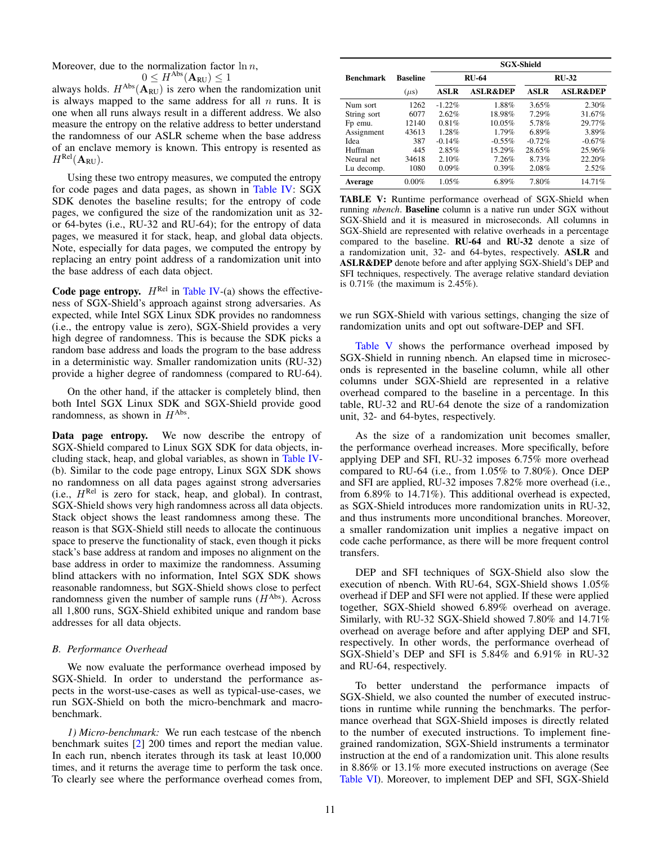Moreover, due to the normalization factor  $\ln n$ ,

$$
0 \leq H^{\rm Abs}(\mathbf{A}_{\rm RU}) \leq 1
$$

always holds.  $H^{Abs}(\mathbf{A}_{RU})$  is zero when the randomization unit is always mapped to the same address for all  $n$  runs. It is one when all runs always result in a different address. We also measure the entropy on the relative address to better understand the randomness of our ASLR scheme when the base address of an enclave memory is known. This entropy is resented as  $H^{\rm Rel}({\mathbf A}_{\rm RU}).$ 

Using these two entropy measures, we computed the entropy for code pages and data pages, as shown in [Table IV:](#page-9-2) SGX SDK denotes the baseline results; for the entropy of code pages, we configured the size of the randomization unit as 32 or 64-bytes (i.e., RU-32 and RU-64); for the entropy of data pages, we measured it for stack, heap, and global data objects. Note, especially for data pages, we computed the entropy by replacing an entry point address of a randomization unit into the base address of each data object.

Code page entropy.  $H^{Rel}$  in [Table IV-](#page-9-2)(a) shows the effectiveness of SGX-Shield's approach against strong adversaries. As expected, while Intel SGX Linux SDK provides no randomness (i.e., the entropy value is zero), SGX-Shield provides a very high degree of randomness. This is because the SDK picks a random base address and loads the program to the base address in a deterministic way. Smaller randomization units (RU-32) provide a higher degree of randomness (compared to RU-64).

On the other hand, if the attacker is completely blind, then both Intel SGX Linux SDK and SGX-Shield provide good randomness, as shown in  $H^{\text{Abs}}$ .

Data page entropy. We now describe the entropy of SGX-Shield compared to Linux SGX SDK for data objects, including stack, heap, and global variables, as shown in [Table IV-](#page-9-2) (b). Similar to the code page entropy, Linux SGX SDK shows no randomness on all data pages against strong adversaries  $(i.e., H<sup>Rel</sup>$  is zero for stack, heap, and global). In contrast, SGX-Shield shows very high randomness across all data objects. Stack object shows the least randomness among these. The reason is that SGX-Shield still needs to allocate the continuous space to preserve the functionality of stack, even though it picks stack's base address at random and imposes no alignment on the base address in order to maximize the randomness. Assuming blind attackers with no information, Intel SGX SDK shows reasonable randomness, but SGX-Shield shows close to perfect randomness given the number of sample runs  $(H^{Abs})$ . Across all 1,800 runs, SGX-Shield exhibited unique and random base addresses for all data objects.

# *B. Performance Overhead*

We now evaluate the performance overhead imposed by SGX-Shield. In order to understand the performance aspects in the worst-use-cases as well as typical-use-cases, we run SGX-Shield on both the micro-benchmark and macrobenchmark.

<span id="page-10-0"></span>*1) Micro-benchmark:* We run each testcase of the nbench benchmark suites [\[2\]](#page-13-10) 200 times and report the median value. In each run, nbench iterates through its task at least 10,000 times, and it returns the average time to perform the task once. To clearly see where the performance overhead comes from,

<span id="page-10-1"></span>

|                  |                 | <b>SGX-Shield</b> |                     |             |                     |  |  |  |
|------------------|-----------------|-------------------|---------------------|-------------|---------------------|--|--|--|
| <b>Benchmark</b> | <b>Baseline</b> |                   | <b>RU-64</b>        |             | $RIJ-32$            |  |  |  |
|                  | $(\mu s)$       | <b>ASLR</b>       | <b>ASLR&amp;DEP</b> | <b>ASLR</b> | <b>ASLR&amp;DEP</b> |  |  |  |
| Num sort         | 1262            | $-1.22%$          | 1.88%               | 3.65%       | 2.30%               |  |  |  |
| String sort      | 6077            | 2.62%             | 18.98%              | 7.29%       | 31.67%              |  |  |  |
| Fp emu.          | 12140           | 0.81%             | 10.05%              | 5.78%       | 29.77%              |  |  |  |
| Assignment       | 43613           | 1.28%             | 1.79%               | 6.89%       | 3.89%               |  |  |  |
| Idea             | 387             | $-0.14%$          | $-0.55\%$           | $-0.72%$    | $-0.67%$            |  |  |  |
| Huffman          | 445             | 2.85%             | 15.29%              | 28.65%      | 25.96%              |  |  |  |
| Neural net       | 34618           | 2.10%             | 7.26%               | 8.73%       | 22.20%              |  |  |  |
| Lu decomp.       | 1080            | 0.09%             | 0.39%               | 2.08%       | 2.52%               |  |  |  |
| Average          | 0.00%           | 1.05%             | 6.89%               | 7.80%       | 14.71%              |  |  |  |

TABLE V: Runtime performance overhead of SGX-Shield when running *nbench*. Baseline column is a native run under SGX without SGX-Shield and it is measured in microseconds. All columns in SGX-Shield are represented with relative overheads in a percentage compared to the baseline. RU-64 and RU-32 denote a size of a randomization unit, 32- and 64-bytes, respectively. ASLR and ASLR&DEP denote before and after applying SGX-Shield's DEP and SFI techniques, respectively. The average relative standard deviation is 0.71% (the maximum is 2.45%).

we run SGX-Shield with various settings, changing the size of randomization units and opt out software-DEP and SFI.

[Table V](#page-10-1) shows the performance overhead imposed by SGX-Shield in running nbench. An elapsed time in microseconds is represented in the baseline column, while all other columns under SGX-Shield are represented in a relative overhead compared to the baseline in a percentage. In this table, RU-32 and RU-64 denote the size of a randomization unit, 32- and 64-bytes, respectively.

As the size of a randomization unit becomes smaller, the performance overhead increases. More specifically, before applying DEP and SFI, RU-32 imposes 6.75% more overhead compared to RU-64 (i.e., from 1.05% to 7.80%). Once DEP and SFI are applied, RU-32 imposes 7.82% more overhead (i.e., from 6.89% to 14.71%). This additional overhead is expected, as SGX-Shield introduces more randomization units in RU-32, and thus instruments more unconditional branches. Moreover, a smaller randomization unit implies a negative impact on code cache performance, as there will be more frequent control transfers.

DEP and SFI techniques of SGX-Shield also slow the execution of nbench. With RU-64, SGX-Shield shows 1.05% overhead if DEP and SFI were not applied. If these were applied together, SGX-Shield showed 6.89% overhead on average. Similarly, with RU-32 SGX-Shield showed 7.80% and 14.71% overhead on average before and after applying DEP and SFI, respectively. In other words, the performance overhead of SGX-Shield's DEP and SFI is 5.84% and 6.91% in RU-32 and RU-64, respectively.

To better understand the performance impacts of SGX-Shield, we also counted the number of executed instructions in runtime while running the benchmarks. The performance overhead that SGX-Shield imposes is directly related to the number of executed instructions. To implement finegrained randomization, SGX-Shield instruments a terminator instruction at the end of a randomization unit. This alone results in 8.86% or 13.1% more executed instructions on average (See [Table VI\)](#page-11-2). Moreover, to implement DEP and SFI, SGX-Shield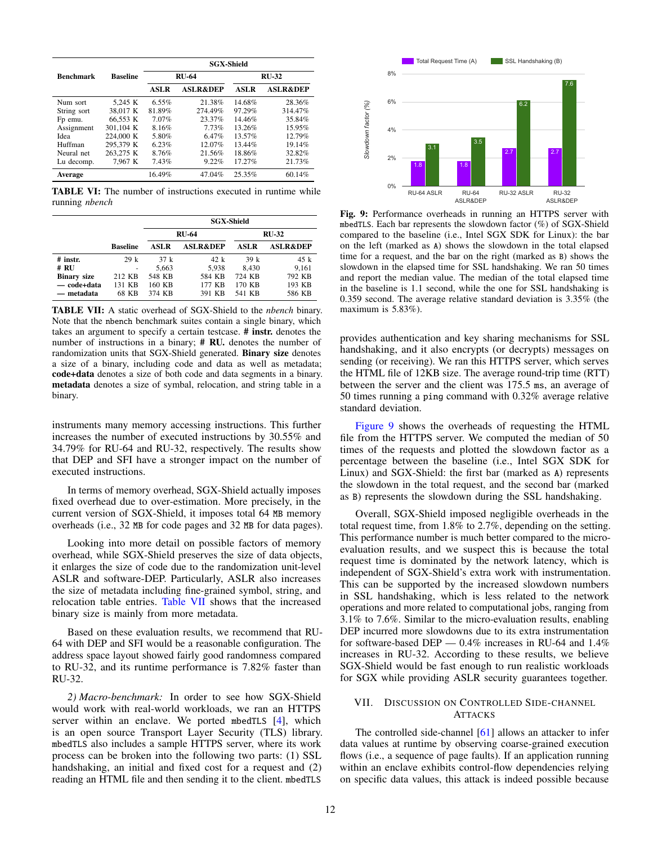<span id="page-11-2"></span>

|                  |                 | <b>SGX-Shield</b> |                     |             |                     |  |  |
|------------------|-----------------|-------------------|---------------------|-------------|---------------------|--|--|
| <b>Benchmark</b> | <b>Baseline</b> | <b>RU-64</b>      |                     |             | $RU-32$             |  |  |
|                  |                 | <b>ASLR</b>       | <b>ASLR&amp;DEP</b> | <b>ASLR</b> | <b>ASLR&amp;DEP</b> |  |  |
| Num sort         | 5.245 K         | $6.55\%$          | 21.38%              | 14.68%      | 28.36%              |  |  |
| String sort      | 38.017 K        | 81.89%            | 274.49%             | 97.29%      | 314.47%             |  |  |
| Fp emu.          | 66.553 K        | 7.07%             | 23.37%              | 14.46%      | 35.84%              |  |  |
| Assignment       | 301.104 K       | 8.16%             | 7.73%               | 13.26%      | 15.95%              |  |  |
| Idea             | 224,000 K       | 5.80%             | 6.47%               | 13.57%      | 12.79%              |  |  |
| Huffman          | 295.379 K       | 6.23%             | 12.07%              | 13.44%      | 19.14%              |  |  |
| Neural net       | 263.275 K       | 8.76%             | 21.56%              | 18.86%      | 32.82%              |  |  |
| Lu decomp.       | 7.967 K         | 7.43%             | 9.22%               | 17.27%      | 21.73%              |  |  |
| Average          |                 | 16.49%            | 47.04%              | 25.35%      | 60.14%              |  |  |

TABLE VI: The number of instructions executed in runtime while running *nbench*

<span id="page-11-3"></span>

|                    |                 | <b>SGX-Shield</b> |                     |             |                     |  |  |
|--------------------|-----------------|-------------------|---------------------|-------------|---------------------|--|--|
|                    |                 |                   | <b>RU-64</b>        |             | <b>RU-32</b>        |  |  |
|                    | <b>Baseline</b> | ASL R             | <b>ASLR&amp;DEP</b> | <b>ASLR</b> | <b>ASLR&amp;DEP</b> |  |  |
| $#$ instr.         | 29k             | 37k               | 42 k                | 39k         | 45 k                |  |  |
| $#$ RU             |                 | 5,663             | 5.938               | 8.430       | 9.161               |  |  |
| <b>Binary size</b> | 212 KB          | 548 KB            | 584 KB              | 724 KB      | 792 KB              |  |  |
| — code+data        | 131 KB          | 160 KB            | 177 KB              | 170 KB      | 193 KB              |  |  |
| — metadata         | 68 KB           | 374 KB            | 391 KB              | 541 KB      | 586 KB              |  |  |

TABLE VII: A static overhead of SGX-Shield to the *nbench* binary. Note that the nbench benchmark suites contain a single binary, which takes an argument to specify a certain testcase. # instr. denotes the number of instructions in a binary; **# RU**. denotes the number of randomization units that SGX-Shield generated. Binary size denotes a size of a binary, including code and data as well as metadata; code+data denotes a size of both code and data segments in a binary. metadata denotes a size of symbal, relocation, and string table in a binary.

instruments many memory accessing instructions. This further increases the number of executed instructions by 30.55% and 34.79% for RU-64 and RU-32, respectively. The results show that DEP and SFI have a stronger impact on the number of executed instructions.

In terms of memory overhead, SGX-Shield actually imposes fixed overhead due to over-estimation. More precisely, in the current version of SGX-Shield, it imposes total 64 MB memory overheads (i.e., 32 MB for code pages and 32 MB for data pages).

Looking into more detail on possible factors of memory overhead, while SGX-Shield preserves the size of data objects, it enlarges the size of code due to the randomization unit-level ASLR and software-DEP. Particularly, ASLR also increases the size of metadata including fine-grained symbol, string, and relocation table entries. [Table VII](#page-11-3) shows that the increased binary size is mainly from more metadata.

Based on these evaluation results, we recommend that RU-64 with DEP and SFI would be a reasonable configuration. The address space layout showed fairly good randomness compared to RU-32, and its runtime performance is 7.82% faster than RU-32.

<span id="page-11-1"></span>*2) Macro-benchmark:* In order to see how SGX-Shield would work with real-world workloads, we ran an HTTPS server within an enclave. We ported mbedTLS [\[4\]](#page-13-9), which is an open source Transport Layer Security (TLS) library. mbedTLS also includes a sample HTTPS server, where its work process can be broken into the following two parts: (1) SSL handshaking, an initial and fixed cost for a request and (2) reading an HTML file and then sending it to the client. mbedTLS

<span id="page-11-4"></span>

Fig. 9: Performance overheads in running an HTTPS server with mbedTLS. Each bar represents the slowdown factor (%) of SGX-Shield compared to the baseline (i.e., Intel SGX SDK for Linux): the bar on the left (marked as A) shows the slowdown in the total elapsed time for a request, and the bar on the right (marked as B) shows the slowdown in the elapsed time for SSL handshaking. We ran 50 times and report the median value. The median of the total elapsed time in the baseline is 1.1 second, while the one for SSL handshaking is 0.359 second. The average relative standard deviation is 3.35% (the maximum is 5.83%).

provides authentication and key sharing mechanisms for SSL handshaking, and it also encrypts (or decrypts) messages on sending (or receiving). We ran this HTTPS server, which serves the HTML file of 12KB size. The average round-trip time (RTT) between the server and the client was 175.5 ms, an average of 50 times running a ping command with 0.32% average relative standard deviation.

[Figure 9](#page-11-4) shows the overheads of requesting the HTML file from the HTTPS server. We computed the median of 50 times of the requests and plotted the slowdown factor as a percentage between the baseline (i.e., Intel SGX SDK for Linux) and SGX-Shield: the first bar (marked as A) represents the slowdown in the total request, and the second bar (marked as B) represents the slowdown during the SSL handshaking.

Overall, SGX-Shield imposed negligible overheads in the total request time, from 1.8% to 2.7%, depending on the setting. This performance number is much better compared to the microevaluation results, and we suspect this is because the total request time is dominated by the network latency, which is independent of SGX-Shield's extra work with instrumentation. This can be supported by the increased slowdown numbers in SSL handshaking, which is less related to the network operations and more related to computational jobs, ranging from 3.1% to 7.6%. Similar to the micro-evaluation results, enabling DEP incurred more slowdowns due to its extra instrumentation for software-based DEP — 0.4% increases in RU-64 and 1.4% increases in RU-32. According to these results, we believe SGX-Shield would be fast enough to run realistic workloads for SGX while providing ASLR security guarantees together.

# <span id="page-11-0"></span>VII. DISCUSSION ON CONTROLLED SIDE-CHANNEL **ATTACKS**

The controlled side-channel [\[61\]](#page-14-10) allows an attacker to infer data values at runtime by observing coarse-grained execution flows (i.e., a sequence of page faults). If an application running within an enclave exhibits control-flow dependencies relying on specific data values, this attack is indeed possible because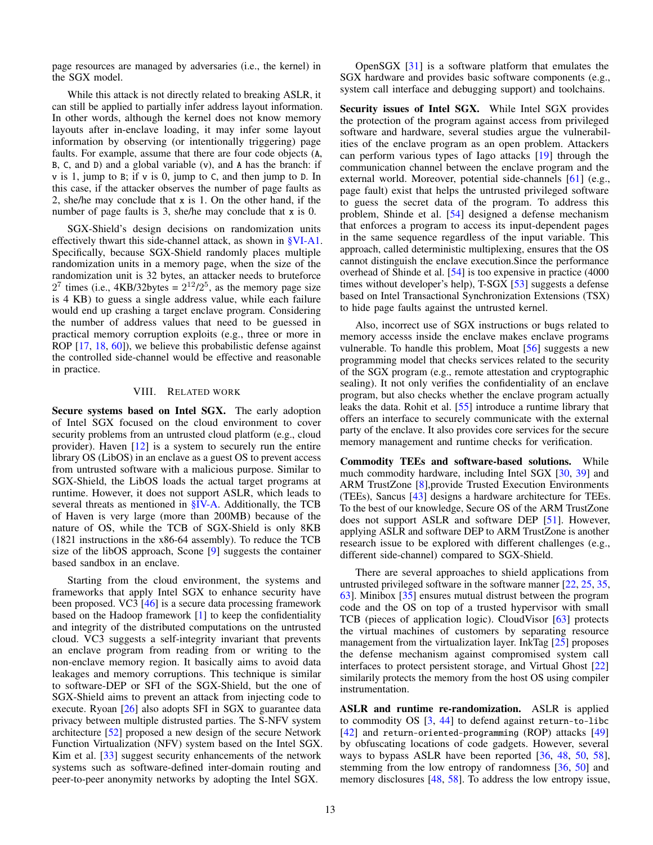page resources are managed by adversaries (i.e., the kernel) in the SGX model.

While this attack is not directly related to breaking ASLR, it can still be applied to partially infer address layout information. In other words, although the kernel does not know memory layouts after in-enclave loading, it may infer some layout information by observing (or intentionally triggering) page faults. For example, assume that there are four code objects (A, B, C, and D) and a global variable (v), and A has the branch: if v is 1, jump to B; if v is 0, jump to C, and then jump to D. In this case, if the attacker observes the number of page faults as 2, she/he may conclude that x is 1. On the other hand, if the number of page faults is 3, she/he may conclude that x is 0.

SGX-Shield's design decisions on randomization units effectively thwart this side-channel attack, as shown in [§VI-A1.](#page-8-1) Specifically, because SGX-Shield randomly places multiple randomization units in a memory page, when the size of the randomization unit is 32 bytes, an attacker needs to bruteforce  $2^7$  times (i.e., 4KB/32bytes =  $2^{12}/2^5$ , as the memory page size is 4 KB) to guess a single address value, while each failure would end up crashing a target enclave program. Considering the number of address values that need to be guessed in practical memory corruption exploits (e.g., three or more in ROP [\[17,](#page-13-12) [18,](#page-13-13) [60\]](#page-14-14)), we believe this probabilistic defense against the controlled side-channel would be effective and reasonable in practice.

#### VIII. RELATED WORK

<span id="page-12-0"></span>Secure systems based on Intel SGX. The early adoption of Intel SGX focused on the cloud environment to cover security problems from an untrusted cloud platform (e.g., cloud provider). Haven [\[12\]](#page-13-0) is a system to securely run the entire library OS (LibOS) in an enclave as a guest OS to prevent access from untrusted software with a malicious purpose. Similar to SGX-Shield, the LibOS loads the actual target programs at runtime. However, it does not support ASLR, which leads to several threats as mentioned in [§IV-A.](#page-4-1) Additionally, the TCB of Haven is very large (more than 200MB) because of the nature of OS, while the TCB of SGX-Shield is only 8KB (1821 instructions in the x86-64 assembly). To reduce the TCB size of the libOS approach, Scone [\[9\]](#page-13-14) suggests the container based sandbox in an enclave.

Starting from the cloud environment, the systems and frameworks that apply Intel SGX to enhance security have been proposed. VC3 [\[46\]](#page-14-15) is a secure data processing framework based on the Hadoop framework [\[1\]](#page-13-15) to keep the confidentiality and integrity of the distributed computations on the untrusted cloud. VC3 suggests a self-integrity invariant that prevents an enclave program from reading from or writing to the non-enclave memory region. It basically aims to avoid data leakages and memory corruptions. This technique is similar to software-DEP or SFI of the SGX-Shield, but the one of SGX-Shield aims to prevent an attack from injecting code to execute. Ryoan [\[26\]](#page-14-16) also adopts SFI in SGX to guarantee data privacy between multiple distrusted parties. The S-NFV system architecture [\[52\]](#page-14-17) proposed a new design of the secure Network Function Virtualization (NFV) system based on the Intel SGX. Kim et al. [\[33\]](#page-14-18) suggest security enhancements of the network systems such as software-defined inter-domain routing and peer-to-peer anonymity networks by adopting the Intel SGX.

OpenSGX [\[31\]](#page-14-19) is a software platform that emulates the SGX hardware and provides basic software components (e.g., system call interface and debugging support) and toolchains.

Security issues of Intel SGX. While Intel SGX provides the protection of the program against access from privileged software and hardware, several studies argue the vulnerabilities of the enclave program as an open problem. Attackers can perform various types of Iago attacks [\[19\]](#page-13-16) through the communication channel between the enclave program and the external world. Moreover, potential side-channels [\[61\]](#page-14-10) (e.g., page fault) exist that helps the untrusted privileged software to guess the secret data of the program. To address this problem, Shinde et al. [\[54\]](#page-14-20) designed a defense mechanism that enforces a program to access its input-dependent pages in the same sequence regardless of the input variable. This approach, called deterministic multiplexing, ensures that the OS cannot distinguish the enclave execution.Since the performance overhead of Shinde et al. [\[54\]](#page-14-20) is too expensive in practice (4000 times without developer's help), T-SGX [\[53\]](#page-14-21) suggests a defense based on Intel Transactional Synchronization Extensions (TSX) to hide page faults against the untrusted kernel.

Also, incorrect use of SGX instructions or bugs related to memory accesss inside the enclave makes enclave programs vulnerable. To handle this problem, Moat [\[56\]](#page-14-22) suggests a new programming model that checks services related to the security of the SGX program (e.g., remote attestation and cryptographic sealing). It not only verifies the confidentiality of an enclave program, but also checks whether the enclave program actually leaks the data. Rohit et al. [\[55\]](#page-14-23) introduce a runtime library that offers an interface to securely communicate with the external party of the enclave. It also provides core services for the secure memory management and runtime checks for verification.

Commodity TEEs and software-based solutions. While much commodity hardware, including Intel SGX [\[30,](#page-14-7) [39\]](#page-14-5) and ARM TrustZone [\[8\]](#page-13-17), provide Trusted Execution Environments (TEEs), Sancus [\[43\]](#page-14-24) designs a hardware architecture for TEEs. To the best of our knowledge, Secure OS of the ARM TrustZone does not support ASLR and software DEP [\[51\]](#page-14-25). However, applying ASLR and software DEP to ARM TrustZone is another research issue to be explored with different challenges (e.g., different side-channel) compared to SGX-Shield.

There are several approaches to shield applications from untrusted privileged software in the software manner [\[22,](#page-13-18) [25,](#page-13-19) [35,](#page-14-26) [63\]](#page-14-27). Minibox [\[35\]](#page-14-26) ensures mutual distrust between the program code and the OS on top of a trusted hypervisor with small TCB (pieces of application logic). CloudVisor [\[63\]](#page-14-27) protects the virtual machines of customers by separating resource management from the virtualization layer. InkTag [\[25\]](#page-13-19) proposes the defense mechanism against compromised system call interfaces to protect persistent storage, and Virtual Ghost [\[22\]](#page-13-18) similarily protects the memory from the host OS using compiler instrumentation.

ASLR and runtime re-randomization. ASLR is applied to commodity OS [\[3,](#page-13-20) [44\]](#page-14-28) to defend against return-to-libc [\[42\]](#page-14-2) and return-oriented-programming (ROP) attacks [\[49\]](#page-14-3) by obfuscating locations of code gadgets. However, several ways to bypass ASLR have been reported [\[36,](#page-14-29) [48,](#page-14-30) [50,](#page-14-31) [58\]](#page-14-32), stemming from the low entropy of randomness [\[36,](#page-14-29) [50\]](#page-14-31) and memory disclosures [\[48,](#page-14-30) [58\]](#page-14-32). To address the low entropy issue,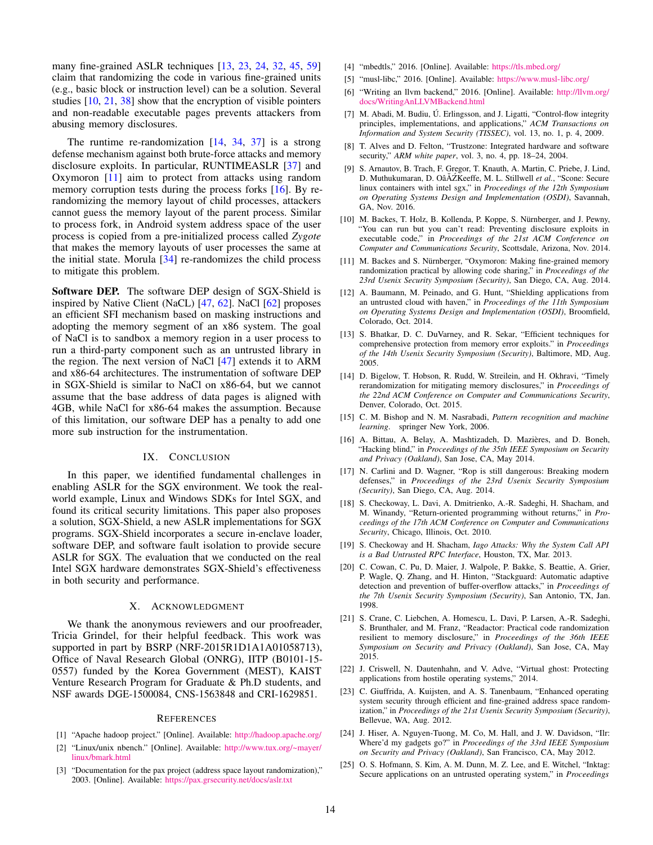many fine-grained ASLR techniques [\[13,](#page-13-4) [23,](#page-13-5) [24,](#page-13-6) [32,](#page-14-11) [45,](#page-14-12) [59\]](#page-14-13) claim that randomizing the code in various fine-grained units (e.g., basic block or instruction level) can be a solution. Several studies  $[10, 21, 38]$  $[10, 21, 38]$  $[10, 21, 38]$  $[10, 21, 38]$  $[10, 21, 38]$  show that the encryption of visible pointers and non-readable executable pages prevents attackers from abusing memory disclosures.

The runtime re-randomization  $[14, 34, 37]$  $[14, 34, 37]$  $[14, 34, 37]$  $[14, 34, 37]$  $[14, 34, 37]$  is a strong defense mechanism against both brute-force attacks and memory disclosure exploits. In particular, RUNTIMEASLR [\[37\]](#page-14-35) and Oxymoron [\[11\]](#page-13-24) aim to protect from attacks using random memory corruption tests during the process forks [\[16\]](#page-13-25). By rerandomizing the memory layout of child processes, attackers cannot guess the memory layout of the parent process. Similar to process fork, in Android system address space of the user process is copied from a pre-initialized process called *Zygote* that makes the memory layouts of user processes the same at the initial state. Morula  $[34]$  re-randomizes the child process to mitigate this problem.

Software DEP. The software DEP design of SGX-Shield is inspired by Native Client (NaCL) [\[47,](#page-14-36) [62\]](#page-14-37). NaCl [\[62\]](#page-14-37) proposes an efficient SFI mechanism based on masking instructions and adopting the memory segment of an x86 system. The goal of NaCl is to sandbox a memory region in a user process to run a third-party component such as an untrusted library in the region. The next version of NaCl [\[47\]](#page-14-36) extends it to ARM and x86-64 architectures. The instrumentation of software DEP in SGX-Shield is similar to NaCl on x86-64, but we cannot assume that the base address of data pages is aligned with 4GB, while NaCl for x86-64 makes the assumption. Because of this limitation, our software DEP has a penalty to add one more sub instruction for the instrumentation.

# IX. CONCLUSION

<span id="page-13-3"></span>In this paper, we identified fundamental challenges in enabling ASLR for the SGX environment. We took the realworld example, Linux and Windows SDKs for Intel SGX, and found its critical security limitations. This paper also proposes a solution, SGX-Shield, a new ASLR implementations for SGX programs. SGX-Shield incorporates a secure in-enclave loader, software DEP, and software fault isolation to provide secure ASLR for SGX. The evaluation that we conducted on the real Intel SGX hardware demonstrates SGX-Shield's effectiveness in both security and performance.

#### X. ACKNOWLEDGMENT

We thank the anonymous reviewers and our proofreader, Tricia Grindel, for their helpful feedback. This work was supported in part by BSRP (NRF-2015R1D1A1A01058713), Office of Naval Research Global (ONRG), IITP (B0101-15- 0557) funded by the Korea Government (MEST), KAIST Venture Research Program for Graduate & Ph.D students, and NSF awards DGE-1500084, CNS-1563848 and CRI-1629851.

#### **REFERENCES**

- <span id="page-13-15"></span>[1] "Apache hadoop project." [Online]. Available: <http://hadoop.apache.org/>
- <span id="page-13-10"></span>[2] "Linux/unix nbench." [Online]. Available: [http://www.tux.org/~mayer/](http://www.tux.org/~mayer/linux/bmark.html) [linux/bmark.html](http://www.tux.org/~mayer/linux/bmark.html)
- <span id="page-13-20"></span>[3] "Documentation for the pax project (address space layout randomization)," 2003. [Online]. Available: <https://pax.grsecurity.net/docs/aslr.txt>
- <span id="page-13-9"></span>[4] "mbedtls," 2016. [Online]. Available: <https://tls.mbed.org/>
- <span id="page-13-8"></span>[5] "musl-libc," 2016. [Online]. Available: <https://www.musl-libc.org/>
- <span id="page-13-7"></span>[6] "Writing an llvm backend," 2016. [Online]. Available: [http://llvm.org/](http://llvm.org/docs/WritingAnLLVMBackend.html) [docs/WritingAnLLVMBackend.html](http://llvm.org/docs/WritingAnLLVMBackend.html)
- <span id="page-13-2"></span>[7] M. Abadi, M. Budiu, Ú. Erlingsson, and J. Ligatti, "Control-flow integrity principles, implementations, and applications," *ACM Transactions on Information and System Security (TISSEC)*, vol. 13, no. 1, p. 4, 2009.
- <span id="page-13-17"></span>[8] T. Alves and D. Felton, "Trustzone: Integrated hardware and software security," *ARM white paper*, vol. 3, no. 4, pp. 18–24, 2004.
- <span id="page-13-14"></span>[9] S. Arnautov, B. Trach, F. Gregor, T. Knauth, A. Martin, C. Priebe, J. Lind, D. Muthukumaran, D. OâĂŹKeeffe, M. L. Stillwell et al., "Scone: Secure linux containers with intel sgx," in *Proceedings of the 12th Symposium on Operating Systems Design and Implementation (OSDI)*, Savannah, GA, Nov. 2016.
- <span id="page-13-21"></span>[10] M. Backes, T. Holz, B. Kollenda, P. Koppe, S. Nürnberger, and J. Pewny, "You can run but you can't read: Preventing disclosure exploits in executable code," in *Proceedings of the 21st ACM Conference on Computer and Communications Security*, Scottsdale, Arizona, Nov. 2014.
- <span id="page-13-24"></span>[11] M. Backes and S. Nürnberger, "Oxymoron: Making fine-grained memory randomization practical by allowing code sharing," in *Proceedings of the 23rd Usenix Security Symposium (Security)*, San Diego, CA, Aug. 2014.
- <span id="page-13-0"></span>[12] A. Baumann, M. Peinado, and G. Hunt, "Shielding applications from an untrusted cloud with haven," in *Proceedings of the 11th Symposium on Operating Systems Design and Implementation (OSDI)*, Broomfield, Colorado, Oct. 2014.
- <span id="page-13-4"></span>[13] S. Bhatkar, D. C. DuVarney, and R. Sekar, "Efficient techniques for comprehensive protection from memory error exploits." in *Proceedings of the 14th Usenix Security Symposium (Security)*, Baltimore, MD, Aug. 2005.
- <span id="page-13-23"></span>[14] D. Bigelow, T. Hobson, R. Rudd, W. Streilein, and H. Okhravi, "Timely rerandomization for mitigating memory disclosures," in *Proceedings of the 22nd ACM Conference on Computer and Communications Security*, Denver, Colorado, Oct. 2015.
- <span id="page-13-11"></span>[15] C. M. Bishop and N. M. Nasrabadi, *Pattern recognition and machine learning*. springer New York, 2006.
- <span id="page-13-25"></span>[16] A. Bittau, A. Belay, A. Mashtizadeh, D. Mazières, and D. Boneh, "Hacking blind," in *Proceedings of the 35th IEEE Symposium on Security and Privacy (Oakland)*, San Jose, CA, May 2014.
- <span id="page-13-12"></span>[17] N. Carlini and D. Wagner, "Rop is still dangerous: Breaking modern defenses," in *Proceedings of the 23rd Usenix Security Symposium (Security)*, San Diego, CA, Aug. 2014.
- <span id="page-13-13"></span>[18] S. Checkoway, L. Davi, A. Dmitrienko, A.-R. Sadeghi, H. Shacham, and M. Winandy, "Return-oriented programming without returns," in *Proceedings of the 17th ACM Conference on Computer and Communications Security*, Chicago, Illinois, Oct. 2010.
- <span id="page-13-16"></span>[19] S. Checkoway and H. Shacham, *Iago Attacks: Why the System Call API is a Bad Untrusted RPC Interface*, Houston, TX, Mar. 2013.
- <span id="page-13-1"></span>[20] C. Cowan, C. Pu, D. Maier, J. Walpole, P. Bakke, S. Beattie, A. Grier, P. Wagle, Q. Zhang, and H. Hinton, "Stackguard: Automatic adaptive detection and prevention of buffer-overflow attacks," in *Proceedings of the 7th Usenix Security Symposium (Security)*, San Antonio, TX, Jan. 1998.
- <span id="page-13-22"></span>[21] S. Crane, C. Liebchen, A. Homescu, L. Davi, P. Larsen, A.-R. Sadeghi, S. Brunthaler, and M. Franz, "Readactor: Practical code randomization resilient to memory disclosure," in *Proceedings of the 36th IEEE Symposium on Security and Privacy (Oakland)*, San Jose, CA, May 2015.
- <span id="page-13-18"></span>[22] J. Criswell, N. Dautenhahn, and V. Adve, "Virtual ghost: Protecting applications from hostile operating systems," 2014.
- <span id="page-13-5"></span>[23] C. Giuffrida, A. Kuijsten, and A. S. Tanenbaum, "Enhanced operating system security through efficient and fine-grained address space randomization," in *Proceedings of the 21st Usenix Security Symposium (Security)*, Bellevue, WA, Aug. 2012.
- <span id="page-13-6"></span>[24] J. Hiser, A. Nguyen-Tuong, M. Co, M. Hall, and J. W. Davidson, "Ilr: Where'd my gadgets go?" in *Proceedings of the 33rd IEEE Symposium on Security and Privacy (Oakland)*, San Francisco, CA, May 2012.
- <span id="page-13-19"></span>[25] O. S. Hofmann, S. Kim, A. M. Dunn, M. Z. Lee, and E. Witchel, "Inktag: Secure applications on an untrusted operating system," in *Proceedings*